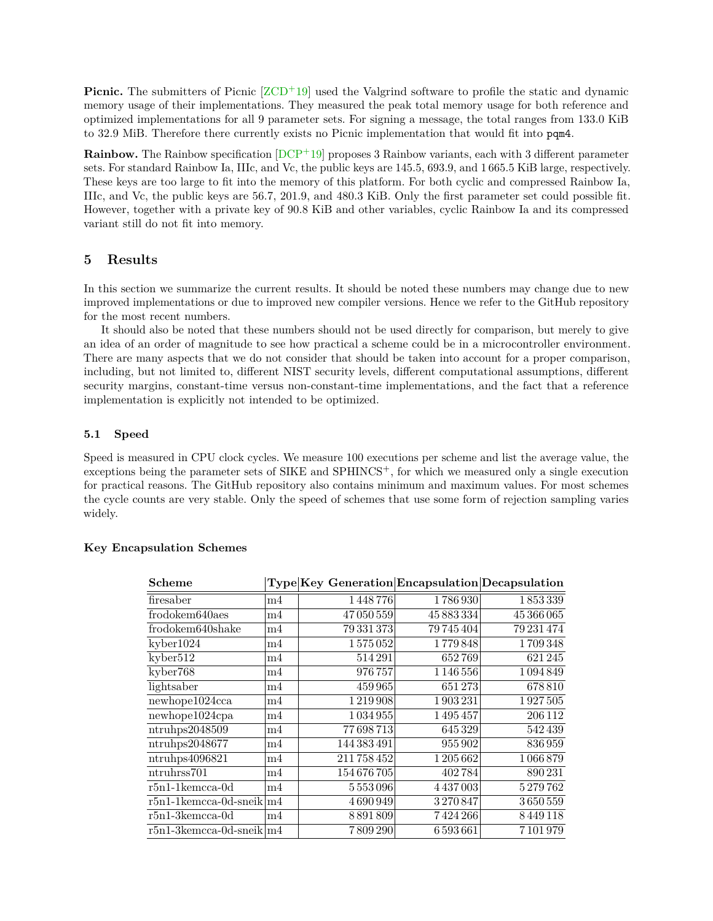<span id="page-6-0"></span>**Picnic.** The submitters of Picnic  $ZCD+19$  used the Valgrind software to profile the static and dynamic memory usage of their implementations. They measured the peak total memory usage for both reference and optimized implementations for all 9 parameter sets. For signing a message, the total ranges from 133.0 KiB to 32.9 MiB. Therefore there currently exists no Picnic implementation that would ft into pqm4.

**Rainbow.** The Rainbow specification  $[DCF+19]$  proposes 3 Rainbow variants, each with 3 different parameter sets. For standard Rainbow Ia, IIIc, and Vc, the public keys are 145.5, 693.9, and 1 665.5 KiB large, respectively. These keys are too large to ft into the memory of this platform. For both cyclic and compressed Rainbow Ia, IIIc, and Vc, the public keys are 56.7, 201.9, and 480.3 KiB. Only the frst parameter set could possible ft. However, together with a private key of 90.8 KiB and other variables, cyclic Rainbow Ia and its compressed variant still do not ft into memory.

#### **5 Results**

In this section we summarize the current results. It should be noted these numbers may change due to new improved implementations or due to improved new compiler versions. Hence we refer to the GitHub repository for the most recent numbers.

It should also be noted that these numbers should not be used directly for comparison, but merely to give an idea of an order of magnitude to see how practical a scheme could be in a microcontroller environment. There are many aspects that we do not consider that should be taken into account for a proper comparison, including, but not limited to, different NIST security levels, different computational assumptions, different security margins, constant-time versus non-constant-time implementations, and the fact that a reference implementation is explicitly not intended to be optimized.

#### **5.1 Speed**

Speed is measured in CPU clock cycles. We measure 100 executions per scheme and list the average value, the exceptions being the parameter sets of SIKE and SPHINCS+, for which we measured only a single execution for practical reasons. The GitHub repository also contains minimum and maximum values. For most schemes the cycle counts are very stable. Only the speed of schemes that use some form of rejection sampling varies widely.

| Scheme                         |           | Type Key Generation Encapsulation Decapsulation |            |            |
|--------------------------------|-----------|-------------------------------------------------|------------|------------|
| firesaber                      | m4        | 1448776                                         | 1786930    | 1853339    |
| frodokem640aes                 | m4        | 47050559                                        | 45 883 334 | 45 366 065 |
| frodokem640shake               | m4        | 79 331 373                                      | 79 745 404 | 79 231 474 |
| kyber1024                      | m4        | 1575052                                         | 1779848    | 1709348    |
| kyber512                       | m4        | 514291                                          | 652769     | 621 245    |
| kyber768                       | m4        | 976757                                          | 1 146 556  | 1094849    |
| lightsaber                     | m4        | 459965                                          | 651273     | 678810     |
| newhope1024cca                 | m4        | 1219908                                         | 1903231    | 1927505    |
| newhope1024cpa                 | m4        | 1 0 3 4 9 5 5                                   | 1495457    | 206 112    |
| ntruhps2048509                 | m4        | 77698713                                        | 645329     | 542439     |
| ntrubps2048677                 | m4        | 144 383 491                                     | 955902     | 836959     |
| ntruhps4096821                 | m4        | 211758452                                       | 1205662    | 1066879    |
| ntruhrss701                    | m4        | 154676705                                       | 402784     | 890231     |
| $r5n1-1$ kemcca-0d             | m4        | 5553096                                         | 4437003    | 5279762    |
| $r5n1-1$ kemcca-0d-sneik $ m4$ |           | 4690949                                         | 3270847    | 3650559    |
| $r5n1-3kemcca-0d$              | $\rm{m4}$ | 8891809                                         | 7424266    | 8449118    |
| $r5n1-3$ kemcca-0d-sneik $ m4$ |           | 7 809 290                                       | 6593661    | 7 101 979  |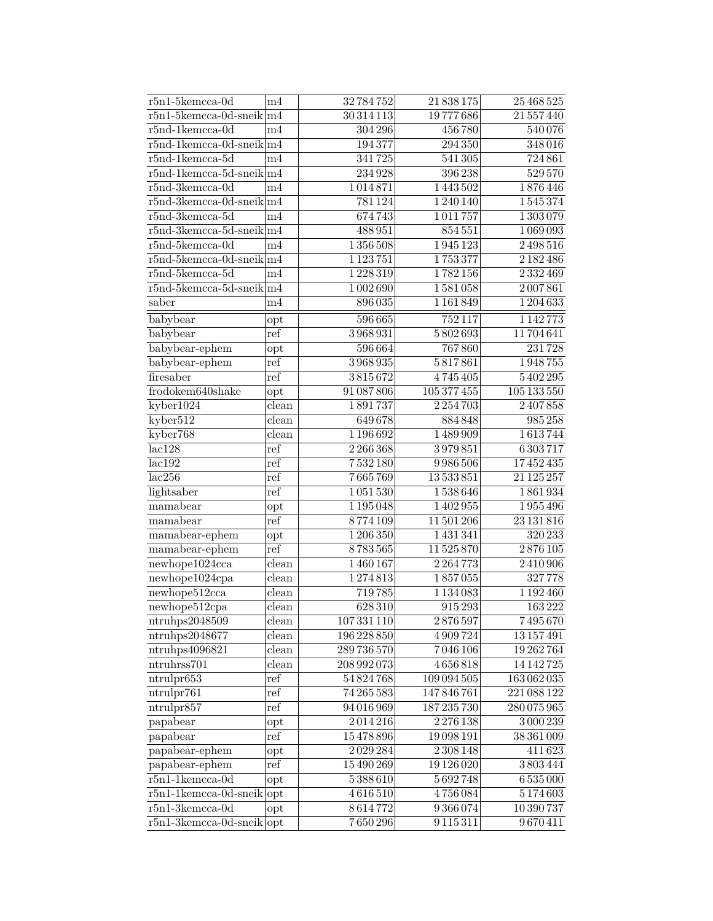| $r5n1-5$ kemcca-0d                  | m4                        | 32784752      | 21 838 175    | 25 468 525       |
|-------------------------------------|---------------------------|---------------|---------------|------------------|
| $r5n1-5$ kemcca-0d-sneik $ m4$      |                           | 30 314 113    | 19777686      | 21 557 440       |
| $r5nd-1$ kemcca- $0d$               | m <sub>4</sub>            | 304 296       | 456780        | 540076           |
| $r5nd-1$ kemcca-0d-sneik $ m4$      |                           | 194377        | 294350        | 348016           |
| $r5nd-1$ kemcca- $5d$               | m4                        | 341725        | 541305        | 724861           |
| $r5nd-1$ kemcca-5d-sneik $ m4$      |                           | 234928        | 396238        | 529570           |
| $r5nd-3kemcca-0d$                   | m4                        | 1014871       | 1443502       | 1876446          |
| $r5nd-3kemcca-0d-sneik\vert m4$     |                           | 781124        | 1240140       | 1545374          |
| $r5nd-3kemcca-5d$                   | m4                        | 674743        | 1011757       | 1 303 079        |
| $r5nd-3kemcca-5d-sneik \vert m4$    |                           | 488951        | 854551        | 1069093          |
| $r5nd-5kemcca-0d$                   | m <sub>4</sub>            | 1356508       | 1945123       | $2\sqrt{498516}$ |
| $r5nd-5kemcca-0d-sneik\vert m4$     |                           | 1 1 2 3 7 5 1 | 1753377       | 2 182 486        |
| $r5nd-5kemcca-5d$                   | m4                        | 1228319       | 1782156       | 2332469          |
| $r5nd-5kemcca-5d-sneik\vert m4$     |                           | 1002690       | 1581058       | 2007861          |
| saber                               | m4                        | 896035        | 1 1 6 1 8 4 9 | 1204633          |
| babybear                            | opt                       | 596665        | 752117        | 1142773          |
| babybear                            | ref                       | 3968931       | 5802693       | 11704641         |
| babybear-ephem                      | opt                       | 596664        | 767860        | 231728           |
| babybear-ephem                      | ref                       | 3968935       | 5817861       | 1948755          |
| firesaber                           | ref                       | 3815672       | 4745405       | 5402295          |
| frodokem640shake                    | opt                       | 91 087 806    | 105 377 455   | 105 133 550      |
| kyber1024                           | clean                     | 1891737       | 2254703       | 2407858          |
| kyber512                            | clean                     | 649678        | 884848        | 985258           |
| kyber768                            | clean                     | 1 196 692     | 1489909       | 1613744          |
| lac128                              | ref                       | 2266368       | 3979851       | 6303717          |
| lac192                              | ref                       | 7532180       | 9986506       | 17452435         |
| lac256                              | ref                       | 7665769       | 13533851      | 21 1 25 25 7     |
| lightsaber                          | ref                       | 1051530       | 1538646       | 1861934          |
| mamabear                            |                           | 1195048       | 1402955       | 1955496          |
| mamabear                            | opt<br>ref                | 8774109       | 11 501 206    | 23 131 816       |
|                                     |                           | 1206350       | 1431341       | $320\,233$       |
| $m$ amabear-ephem<br>mamabear-ephem | opt<br>ref                | 8783565       | 11525870      | 2876105          |
| new hope1024cca                     | clean                     | 1460167       | 2264773       | 2410906          |
|                                     | clean                     | 1274813       | 1857055       | 327778           |
| newhope1024cpa                      |                           | 719785        |               | 1192460          |
| newhope512cca                       | clean                     |               | 1 1 3 4 0 8 3 |                  |
| newhope512cpa                       | $\overline{\text{clean}}$ | 628310        | 915293        | 163222           |
| ntrubps2048509                      | clean                     | 107 331 110   | $2\,876\,597$ | 7495670          |
| ntrubps2048677                      | clean                     | 196 228 850   | 4909724       | 13 157 491       |
| ntruhps4096821                      | clean                     | 289736570     | 7046106       | 19 262 764       |
| ntruhrss701                         | clean                     | 208 992 073   | 4656818       | 14 14 27 25      |
| ntrulpr653                          | ref                       | 54 824 768    | 109 094 505   | 163062035        |
| ntrulpr761                          | ref                       | 74 265 583    | 147 846 761   | 221 088 122      |
| ntrulpr857                          | ref                       | 94 016 969    | 187 235 730   | 280075965        |
| papabear                            | opt                       | 2014216       | 2276138       | 3000239          |
| papabear                            | ref                       | 15478896      | 19098191      | 38 361 009       |
| papabear-ephem                      | $_{\rm opt}$              | 2029284       | 2 3 0 3 1 4 8 | 411623           |
| papabear-ephem                      | ref                       | 15 490 269    | 19 126 020    | $3\,803\,444$    |
| $r5n1-1$ kemcca-0d                  | opt                       | 5388610       | 5692748       | 6535000          |
| $r5n1-1$ kemcca-0d-sneik opt        |                           | 4616510       | 4756084       | 5174603          |
| $r5n1-3$ kemcca-0d                  | opt                       | 8614772       | 9366074       | 10 390 737       |
| $r5n1-3$ kemcca-0d-sneik opt        |                           | 7650296       | 9115311       | 9670411          |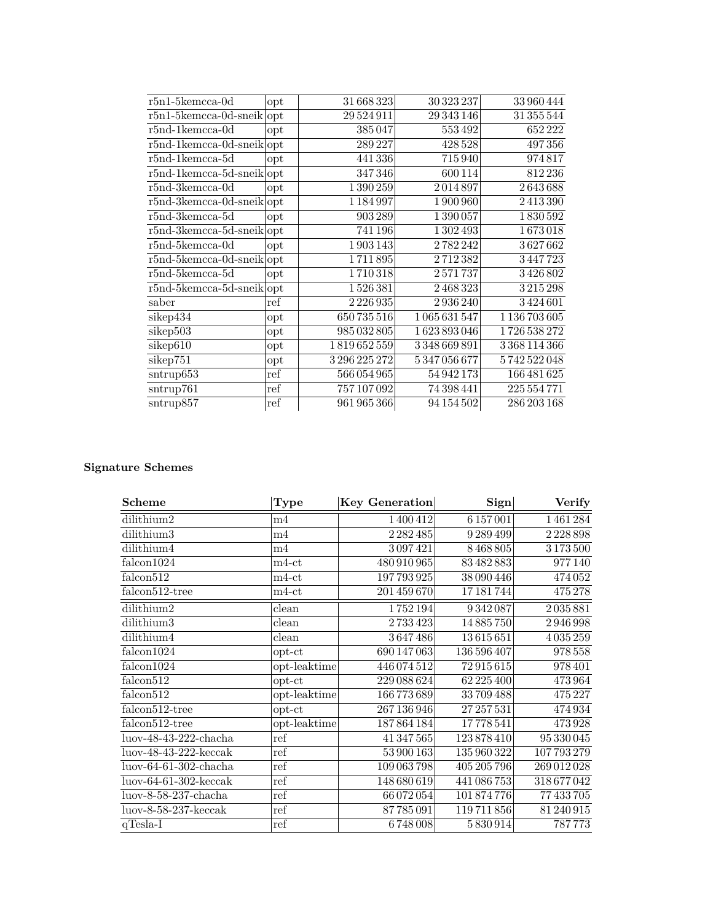| $r5n1-5kemcca-0d$                       | opt                  | 31 668 323   | 30 323 237 | 33 960 444    |
|-----------------------------------------|----------------------|--------------|------------|---------------|
| $r\overline{5n1}$ -5kemcca-0d-sneik opt |                      | 29 5 24 9 11 | 29 343 146 | 31 355 544    |
| $r5nd-1$ kemcca-0d                      | opt                  | 385047       | 553492     | 652 222       |
| $r5nd-1$ kemcca-0d-sneik $ opt$         |                      | 289 227      | 428 528    | 497356        |
| $r5nd-1$ kemcca- $5d$                   | opt                  | 441 336      | 715940     | 974817        |
| $r\overline{5nd-1kemcca-5d-sneik}$ opt  |                      | 347346       | 600 114    | 812236        |
| $r5nd-3kemcca-0d$                       | opt                  | 1390259      | 2014897    | 2643688       |
| $r5nd-3kemcca-0d-sneik opt$             |                      | 1184997      | 1900960    | 2413390       |
| $r5nd-3kemcca-5d$                       | opt                  | 903 289      | 1390057    | 1830592       |
| $r5nd-3kemcca-5d-sneik opt$             |                      | 741 196      | 1302493    | 1673018       |
| $r5nd-5kemcca-0d$                       | opt                  | 1903143      | 2782242    | 3627662       |
| $r5nd-5$ kemcca-0d-sneik $ opt$         |                      | 1711895      | 2712382    | 3447723       |
| $r5nd-5kemcca-5d$                       | opt                  | 1710318      | 2571737    | 3426802       |
| $r5nd-5kemcca-5d-sneik opt$             |                      | 1526381      | 2468323    | 3215298       |
| saber                                   | $\operatorname{ref}$ | 2226935      | 2936240    | 3424601       |
| $sikep4\overline{34}$                   | $_{\rm opt}$         | 650 735 516  | 1065631547 | 1 136 703 605 |
| sikep503                                | opt                  | 985 032 805  | 1623893046 | 1726 538 272  |
| sikep610                                | $_{\rm opt}$         | 1819652559   | 3348669891 | 3368114366    |
| sikep751                                | opt                  | 3296225272   | 5347056677 | 5742522048    |
| $s$ ntrup $653$                         | ref                  | 566054965    | 54 942 173 | 166 481 625   |
| sntrup761                               | ref                  | 757 107 092  | 74 398 441 | 225 554 771   |
| sntrup857                               | ref                  | 961 965 366  | 94 154 502 | 286 203 168   |

| Scheme                                    | Type         | <b>Key Generation</b> | $\mathbf{Sign}$ | Verify                |
|-------------------------------------------|--------------|-----------------------|-----------------|-----------------------|
| dilithium2                                | m4           | 1400412               | 6 1 5 7 0 0 1   | 1461284               |
| dilithium3                                | m4           | 2 2 3 2 4 8 5         | 9 289 499       | 2228898               |
| dilithium4                                | m4           | 3097421               | 8468805         | 3173500               |
| falcon1024                                | $m4-ct$      | 480 910 965           | 83482883        | 977140                |
| falcon512                                 | $m4-ct$      | 197793925             | 38 090 446      | $474\overline{052}$   |
| falcon512-tree                            | $m4$ -ct     | 201 459 670           | 17181744        | 475278                |
| dilithium2                                | clean        | 1752194               | 9342087         | 2035881               |
| dilithium3                                | clean        | 2733423               | 14885750        | 2946998               |
| dilithium4                                | clean        | 3647486               | 13615651        | 4035259               |
| falcon1024                                | $opt-ct$     | 690 147 063           | 136 596 407     | 978 558               |
| falcon1024                                | opt-leaktime | 446 074 512           | 72915615        | 978 401               |
| falcon <sup>512</sup>                     | $opt-ct$     | 229 088 624           | 62 225 400      | 473964                |
| $\overline{\text{falcon5}}12$             | opt-leaktime | 166773689             | 33709488        | 475 227               |
| falcon512-tree                            | $opt-ct$     | 267 136 946           | 27 257 531      | $47493\overline{4}$   |
| falcon512-tree                            | opt-leaktime | 187864184             | 17778541        | 473928                |
| $\overline{\text{luov-48-43-222-chacha}}$ | ref          | 41 347 565            | 123878410       | $953300\overline{45}$ |
| $luov-48-43-222-\text{keccak}$            | ref          | 53 900 163            | 135 960 322     | 107793279             |
| $luov-64-61-302$ -chacha                  | ref          | 109 063 798           | 405 205 796     | 269 012 028           |
| $luov-64-61-302-keccak$                   | ref          | 148680619             | 441 086 753     | 318677042             |
| luov-8-58-237-chacha                      | ref          | 66 072 054            | 101874776       | 77 433 705            |
| $luov-8-58-237-\text{keccak}$             | ref          | 87785091              | 119711856       | 81 240 915            |
| $q$ Tesla-I                               | ref          | 6748008               | 5830914         | 787773                |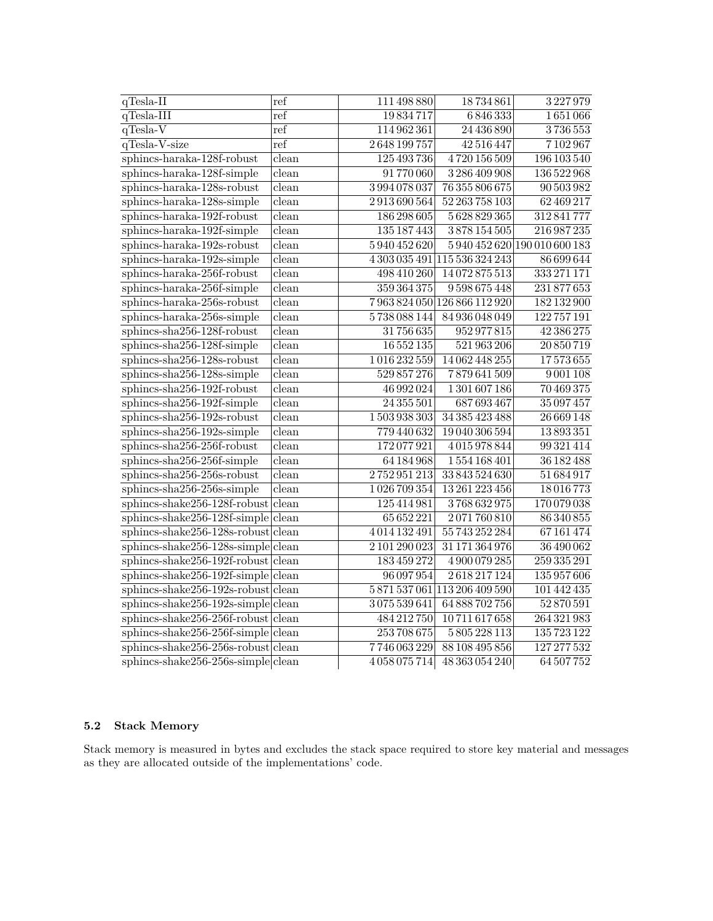| $q$ Tesla-II                           | ref   | 111 498 880   | 18734861                      | 3227979                       |
|----------------------------------------|-------|---------------|-------------------------------|-------------------------------|
| $q$ Tesla-III                          | ref   | 19834717      | 6846333                       | 1651066                       |
| $q$ Tesla-V                            | ref   | 114962361     | 24 436 890                    | 3736553                       |
| qTesla-V-size                          | ref   | 2648199757    | 42 516 447                    | 7102967                       |
| sphincs-haraka-128f-robust             | clean | 125 493 736   | 4720156509                    | 196 103 540                   |
| sphincs-haraka-128f-simple             | clean | 91770060      | 3286409908                    | 136 522 968                   |
| sphincs-haraka-128s-robust             | clean | 3994078037    | 76 355 806 675                | 90 503 982                    |
| sphincs-haraka-128s-simple             | clean | 2913690564    | 52 263 758 103                | 62 469 217                    |
| sphincs-haraka-192f-robust             | clean | 186 298 605   | 5628829365                    | 312841777                     |
| sphincs-haraka-192f-simple             | clean | 135 187 443   | 3878154505                    | 216 987 235                   |
| sphincs-haraka-192s-robust             | clean | 5940452620    |                               | 5 940 452 620 190 010 600 183 |
| sphincs-haraka-192s-simple             | clean |               | 4 303 035 491 115 536 324 243 | 86 699 644                    |
| sphincs-haraka-256f-robust             | clean | 498 410 260   | 14072875513                   | 333 271 171                   |
| sphincs-haraka-256f-simple             | clean | 359 364 375   | 9598675448                    | 231877653                     |
| $s$ phincs-haraka-256s-robust          | clean |               | 7963824050 126866112920       | 182132900                     |
| sphincs-haraka-256s-simple             | clean | 5738088144    | 84936048049                   | 122757191                     |
| sphincs-sha256-128f-robust             | clean | 31756635      | 952977815                     | 42 386 275                    |
| sphincs-sha256-128f-simple             | clean | 16 552 135    | 521 963 206                   | 20850719                      |
| sphincs-sha256-128s-robust             | clean | 1016232559    | 14062448255                   | 17573655                      |
| $sphincs-sha256-128s-simple$           | clean | 529 857 276   | 7879641509                    | 9001108                       |
| sphincs-sha256-192f-robust             | clean | 46 992 024    | 1 301 607 186                 | 70469375                      |
| sphincs-sha256-192f-simple             | clean | 24 355 501    | 687 693 467                   | 35 097 457                    |
| sphincs-sha256-192s-robust             | clean | 1503938303    | 34 385 423 488                | 26 669 148                    |
| sphincs-sha256-192s-simple             | clean | 779440632     | 19 040 306 594                | 13893351                      |
| sphincs-sha256-256f-robust             | clean | 172077921     | 4015978844                    | 99 321 414                    |
| sphincs-sha256-256f-simple             | clean | 64184968      | 1554168401                    | 36182488                      |
| sphincs-sha256-256s-robust             | clean | 2752951213    | 33843524630                   | 51684917                      |
| sphincs-sha256-256s-simple             | clean | 1026709354    | 13 261 223 456                | 18016773                      |
| sphincs-shake $256-128$ f-robust clean |       | 125414981     | 3768632975                    | 170079038                     |
| $sphincs-shake256-128f-simple clean$   |       | 65 652 221    | 2071760810                    | 86 340 855                    |
| sphincs-shake $256-128$ s-robust clean |       | 4014132491    | 55743252284                   | 67161474                      |
| $sphincs-shake256-128s-simple clean$   |       | 2 101 290 023 | 31 171 364 976                | 36490062                      |
| $sphincs-shake256-192f-robust$ clean   |       | 183459272     | 4900079285                    | 259 335 291                   |
| $sphincs-shake256-192f-simple$ clean   |       | 96 097 954    | 2618217124                    | 135 957 606                   |
| sphincs-shake256-192s-robust clean     |       |               | 5871537061113206409590        | 101 442 435                   |
| $sphincs-shake256-192s-simple clean$   |       | 3075539641    | 64 888 702 756                | 52870591                      |
| sphincs-shake $256-256f$ -robust clean |       | 484 212 750   | 10711617658                   | 264 321 983                   |
| $sphincs-shake256-256f-simple$ clean   |       | 253708675     | 5805228113                    | 135723122                     |
| $sphincs-shake256-256s-robust clean$   |       | 7746063229    | 88 108 495 856                | 127 277 532                   |
| $sphincs-shake256-256s-simple clean$   |       | 4058075714    | 48 363 054 240                | 64507752                      |

### **5.2 Stack Memory**

Stack memory is measured in bytes and excludes the stack space required to store key material and messages as they are allocated outside of the implementations' code.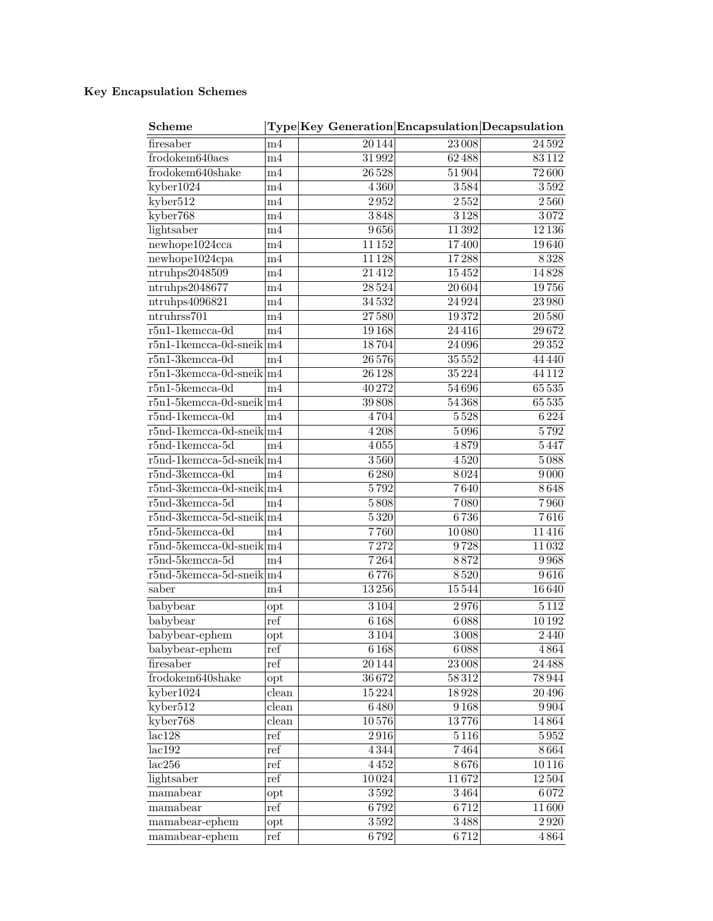| <b>Scheme</b>                    |                | Type Key Generation Encapsulation Decapsulation |           |                   |
|----------------------------------|----------------|-------------------------------------------------|-----------|-------------------|
| firesaber                        | m4             | 20144                                           | 23008     | 24592             |
| frodokem640aes                   | m <sub>4</sub> | 31992                                           | 62488     | $83\,112$         |
| frodokem640shake                 | m <sub>4</sub> | 26528                                           | 51904     | 72600             |
| kyber1024                        | m4             | 4360                                            | 3584      | 3592              |
| kyber512                         | m4             | 2952                                            | 2552      | 2560              |
| kyber768                         | m <sub>4</sub> | 3848                                            | 3128      | 3072              |
| lightsaber                       | m4             | 9656                                            | 11392     | 12136             |
| newhope1024cca                   | m <sub>4</sub> | 11152                                           | 17400     | 19640             |
| newhope1024cpa                   | m <sub>4</sub> | 11128                                           | 17288     | 8328              |
| ntruhps2048509                   | m <sub>4</sub> | 21412                                           | 15452     | 14828             |
| ntruhps2048677                   | m4             | 28524                                           | 20 604    | 19756             |
| ntruhps4096821                   | m4             | 34532                                           | 24924     | 23980             |
| ntruhrss701                      | m4             | 27580                                           | 19372     | $20\,580$         |
| $r5n1-1$ kemcca-0d               | m4             | 19168                                           | 24416     | 29672             |
| $r5n1-1$ kemcca-0d-sneik $ m4$   |                | 18704                                           | 24 0 96   | 29352             |
| $r5n1-3kemcca-0d$                | m <sub>4</sub> | 26576                                           | 35552     | 44 4 4 4 0        |
| $r5n1-3$ kemcca-0d-sneik $ m4 $  |                | 26128                                           | 35 2 24   | 44 1 12           |
| $r5n1-5$ kemcca-0d               | m4             | 40272                                           | 54696     | 65 5 35           |
| $r5n1-5$ kemcca-0d-sneik $ m4$   |                | $\overline{39\,808}$                            | 54368     | 65535             |
| $r5nd-1$ kemcca-0d               | m4             | 4704                                            | 5528      | 6224              |
| $r5nd-1$ kemcca-0d-sneik $ m4$   |                | 4208                                            | 5096      | 5792              |
| $r5nd-1$ kemcca-5d               | m4             | $4\,055$                                        | 4879      | 5447              |
| $r5nd-1$ kemcca-5d-sneik $ m4$   |                | 3560                                            | 4520      | 5088              |
| $r5nd-3kemcca-0d$                | m4             | 6280                                            | 8024      | $9\,000$          |
| $r5nd-3kemcca-0d-sneik\vert m4$  |                | 5792                                            | 7640      | 8648              |
| $r5nd-3kemcca-5d$                | m4             | $5\,808$                                        | 7080      | 7960              |
| $r5nd-3kemcca-5d-sneik\vert m4$  |                | 5320                                            | 6736      | 7616              |
| $r5nd-5kemcca-0d$                | m4             | 7760                                            | 10080     | 11416             |
| $r5nd-5kemcca-0d-sneik\vert m4$  |                | 7272                                            | 9728      | 11032             |
| $r5nd-5kemcca-5d$                | m4             | 7264                                            | 8872      | 9968              |
| $r5nd-5kemcca-5d-sneik \vert m4$ |                | 6776                                            | 8520      | 9616              |
| saber                            | m4             | 13256                                           | 15544     | 16640             |
|                                  |                |                                                 |           | $\overline{5112}$ |
| babybear                         | opt            | 3104                                            | 2976      |                   |
| babybear                         | ref            | 6168                                            | 6088      | 10192             |
| babybear-ephem                   | opt            | 3104                                            | 3008      | 2440              |
| babybear-ephem                   | ref            | 6168                                            | 6088      | 4864              |
| firesaber                        | ref            | 20144                                           | $23\,008$ | $24\,488$         |
| frodokem640shake                 | opt            | 36672                                           | $58\,312$ | 78944             |
| kyber1024                        | clean          | 15224                                           | 18928     | $20\,496$         |
| kyber512                         | clean          | 6480                                            | 9168      | 9904              |
| kyber768                         | clean          | $10\,576$                                       | 13776     | 14864             |
| lac128                           | ref            | $2\,916$                                        | 5116      | $5\,952$          |
| lac192                           | ref            | 4344                                            | 7464      | 8664              |
| lac256                           | ref            | 4452                                            | 8676      | 10116             |
| lightsaber                       | ref            | 10024                                           | 11672     | 12504             |
| mamabear                         | opt            | $3\,592$                                        | $3\,464$  | 6072              |
| mamabear                         | ref            | 6792                                            | 6712      | 11600             |
| mamabear-ephem                   | $_{\rm opt}$   | $3\,592$                                        | $3\,488$  | $2\,920$          |
| mamabear-ephem                   | ref            | 6792                                            | 6712      | 4864              |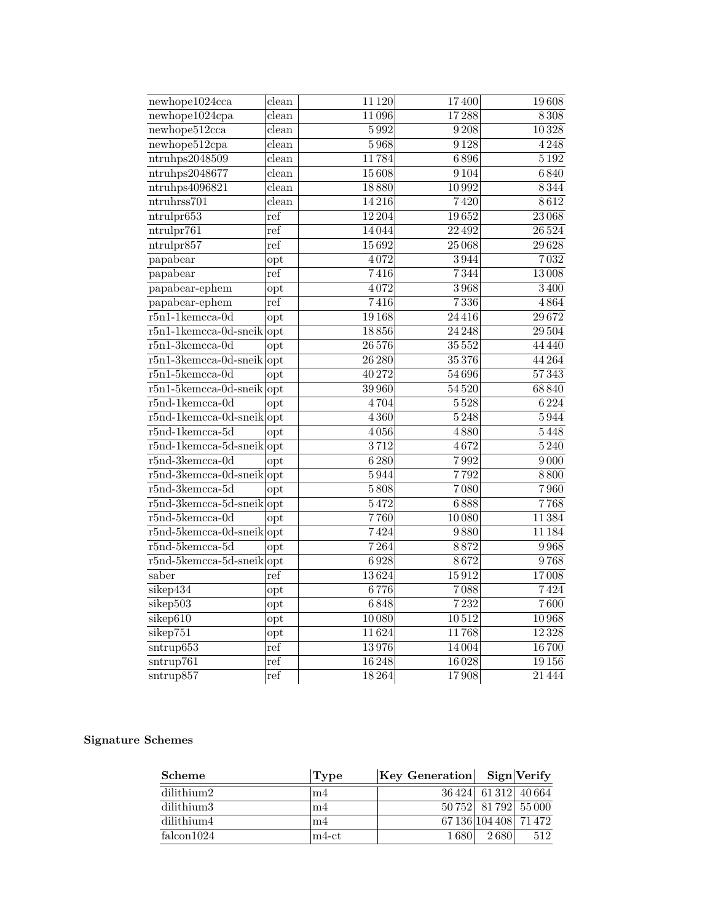| new hope1024cca                 | clean        | 11 1 20          | 17400   | 19608             |
|---------------------------------|--------------|------------------|---------|-------------------|
| newhope1024cpa                  | clean        | 11096            | 17288   | 8308              |
| new hope512cca                  | clean        | 5992             | 9208    | 10328             |
| newhope512cpa                   | clean        | 5968             | 9128    | 4248              |
| ntruhps2048509                  | clean        | 11784            | 6896    | $\overline{5192}$ |
| ntruhps2048677                  | clean        | 15608            | 9104    | 6840              |
| ntruhps4096821                  | clean        | 18880            | 10992   | 8344              |
| ntruhrss701                     | clean        | 14216            | 7420    | 8612              |
| ntrulpr653                      | ref          | 12 204           | 19652   | 23068             |
| ntrulpr761                      | ref          | 14044            | 22492   | 26524             |
| ntrulpr857                      | ref          | 15692            | 25068   | 29628             |
| papabear                        | opt          | 4072             | 3944    | 7032              |
| papabear                        | ref          | 7416             | 7344    | 13008             |
| papabear-ephem                  | opt          | 4072             | 3968    | 3400              |
| papabear-ephem                  | ref          | 7416             | 7336    | 4864              |
| $r5n1-1$ kemcca-0d              | opt          | 19168            | 24416   | 29672             |
| $r5n1-1$ kemcca-0d-sneikopt     |              | 18856            | 24 24 8 | 29 504            |
| $r5n1-3$ kemcca-0d              | opt          | 26 576           | 35 552  | 44 440            |
| $r5n1-3$ kemcca-0d-sneik opt    |              | $\sqrt{26\,280}$ | 35376   | 44 264            |
| $r5n1-5$ kemcca-0d              | opt          | 40272            | 54696   | 57343             |
| $r5n1-5$ kemcca-0d-sneik opt    |              | 39 960           | 54520   | 68840             |
| $r5nd-1$ kemcca-0d              | opt          | 4704             | 5528    | 6224              |
| $r5nd-1$ kemcca-0d-sneik $ opt$ |              | 4360             | 5248    | 5944              |
| $r5nd-1$ kemcca-5d              | opt          | 4056             | 4880    | 5448              |
| $r5nd-1$ kemcca-5d-sneikopt     |              | $\frac{1}{3712}$ | 4672    | $\overline{5240}$ |
| $r5nd-3kemcca-0d$               | opt          | 6280             | 7992    | 9000              |
| $r$ 5nd-3kemcca-0d-sneik $opt$  |              | 5944             | 7792    | 8800              |
| $r5nd-3kemcca-5d$               | opt          | 5808             | 7080    | 7960              |
| $r5nd-3kemcca-5d-sneik opt$     |              | 5472             | 6888    | 7768              |
| $r5nd-5kemcca-0d$               | opt          | 7760             | 10080   | 11384             |
| $r5nd-5kemcca-0d-sneik$ opt     |              | 7424             | 9880    | 11 184            |
| $r5nd-5kemcca-5d$               | opt          | 7264             | 8872    | 9968              |
| $r5nd-5kemcca-5d-sneik$ opt     |              | 6928             | 8672    | 9768              |
| saber                           | ref          | 13624            | 15912   | 17008             |
| sikep434                        | opt          | 6776             | 7088    | 7424              |
| sikep503                        | $_{\rm opt}$ | 6848             | 7232    | 7600              |
| sikep610                        | opt          | 10080            | 10512   | 10968             |
| sikep751                        | opt          | 11624            | 11768   | 12328             |
| $s$ ntrup $653$                 | ref          | 13976            | 14004   | 16700             |
| sntrup761                       | $_{\rm ref}$ | 16248            | 16028   | 19156             |
| sntrup857                       | ref          | 18264            | 17908   | 21444             |

| Scheme     | Type        | Key Generation Sign Verify |                       |     |
|------------|-------------|----------------------------|-----------------------|-----|
| dilithium2 | m4          |                            | 36 424 61 312 40 664  |     |
| dilithium3 | m4          |                            | 50 752 81 792 55 000  |     |
| dilithium4 | m4          |                            | 67 136 104 408 71 472 |     |
| falcon1024 | $\ln 4$ -ct | 1680                       | 2680                  | 512 |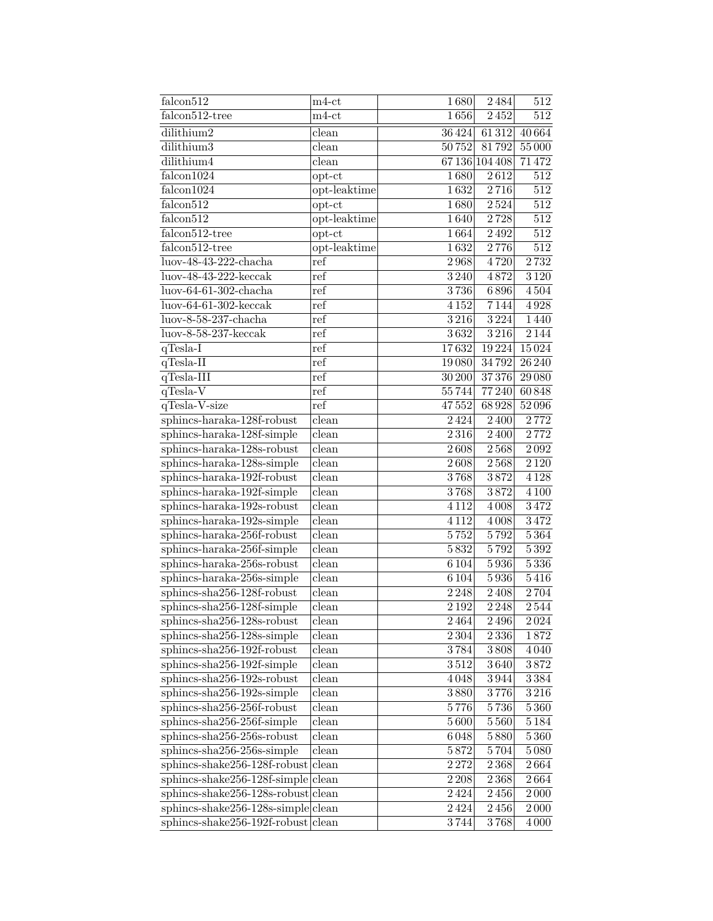| falcon512                            | $m4-ct$                   | 1680               | 2484           | 512               |
|--------------------------------------|---------------------------|--------------------|----------------|-------------------|
| falcon512-tree                       | $_{\rm m4-ct}$            | 1656               | 2452           | 512               |
| dilithium2                           | clean                     | 36424              | 61312          | 40664             |
| dilithium3                           | clean                     | 50752              | 81792          | 55000             |
| dilithium4                           | clean                     |                    | 67 136 104 408 | 71472             |
| falcon1024                           | $opt-ct$                  | 1680               | 2612           | $\overline{512}$  |
| falcon1024                           | opt-leaktime              | 1632               | $2\,716$       | 512               |
| falcon512                            | $opt-ct$                  | 1680               | 2524           | 512               |
| falcon512                            | opt-leaktime              | 1640               | 2728           | $512\,$           |
| falcon512-tree                       | $opt-ct$                  | 1664               | $2\,492$       | $\overline{512}$  |
| falcon512-tree                       | opt-leaktime              | 1632               | 2776           | 512               |
| luov-48-43-222-chacha                | ref                       | 2968               | 4720           | 2732              |
| $luov-48-43-222-keccak$              | ref                       | 3 2 4 0            | 4872           | 3120              |
| $luov-64-61-302$ -chacha             | ref                       | 3736               | 6896           | 4504              |
| $luov-64-61-302-keccak$              | ref                       | 4152               | 7144           | 4928              |
| $luov-8-58-237-chacha$               | ref                       | 3216               | 3224           | 1440              |
| $luov-8-58-237-keccak$               | ref                       | 3632               | 3216           | 2144              |
| $q$ Tesla-I                          | ref                       | 17632              | 19224          | 15024             |
| $q$ Tesla-II                         | ref                       | 19080              | 34792          | 26 240            |
| $q$ Tesla-III                        | ref                       | 30 200             | 37376          | 29 08 0           |
| qTesla-V                             | ref                       | 55744              | 77240          | 60848             |
| qTesla-V-size                        | ref                       | 47552              | 68928          | 52096             |
| sphincs-haraka-128f-robust           | clean                     | 2424               | $2\,400$       | 2772              |
| sphincs-haraka-128f-simple           | clean                     | 2316               | 2400           | 2772              |
| sphincs-haraka-128s-robust           | clean                     | 2608               | 2568           | $2\,092$          |
| sphincs-haraka-128s-simple           | clean                     | $2\,608$           | $2\,568$       | $2\,120$          |
| sphincs-haraka-192f-robust           | clean                     | 3768               | 3872           | 4 1 2 8           |
| sphincs-haraka-192f-simple           | $_{\rm clean}$            | 3768               | 3872           | $4\,100$          |
| sphincs-haraka-192s-robust           | $\overline{\text{clean}}$ | 4 1 1 2            | 4008           | 3472              |
| sphincs-haraka-192s-simple           | clean                     | 4 1 1 2            | 4008           | 3472              |
| sphincs-haraka-256f-robust           | clean                     | $\overline{5752}$  | 5792           | 5364              |
| sphincs-haraka-256f-simple           | clean                     | 5832               | 5792           | 5392              |
| sphincs-haraka-256s-robust           | clean                     | 6104               | 5936           | 5336              |
| sphincs-haraka-256s-simple           | clean                     | 6104               | $5\,936$       | 5416              |
| sphincs-sha256-128f-robust           | $\overline{\text{clean}}$ | 2248               | $2\,408$       | 2704              |
| sphincs-sha256-128f-simple           | $_{\rm clean}$            | 2192               | 2248           | 2544              |
| $s$ phincs-sha $256-128$ s-robust    | clean                     | 2464               | 2496           | $\overline{2}024$ |
| sphincs-sha256-128s-simple           | clean                     | 2304               | 2336           | 1872              |
| sphincs-sha256-192f-robust           | clean                     | $\overline{3}$ 784 | 3808           | 4040              |
| sphincs-sha256-192f-simple           | clean                     | 3512               | 3640           | $3\,872$          |
| sphincs-sha256-192s-robust           | clean                     | 4048               | 3944           | 3384              |
| sphincs-sha256-192s-simple           | clean                     | $3\,880$           | 3776           | 3216              |
| sphincs-sha256-256f-robust           | clean                     | 5776               | $5\,736$       | 5360              |
| sphincs-sha256-256f-simple           | clean                     | 5600               | 5560           | $5\,184$          |
| sphincs-sha256-256s-robust           | clean                     | 6048               | $5\,880$       | 5360              |
| sphincs-sha256-256s-simple           | $\bar{\text{clean}}$      | 5872               | 5704           | 5080              |
| sphincs-shake256-128f-robust         | $\overline{\text{clean}}$ | 2272               | 2368           | 2664              |
| sphincs-shake256-128f-simple         | clean                     | $2\,208$           | $2\,368$       | 2664              |
| $sphincs-shake256-128s-robust clean$ |                           | 2424               | $2\,456$       | $2\,000$          |
| sphincs-shake256-128s-simple         | clean                     | 2424               | 2456           | $2\,000$          |
| sphincs-shake256-192f-robust         | clean                     | 3744               | 3768           | 4 0 0 0           |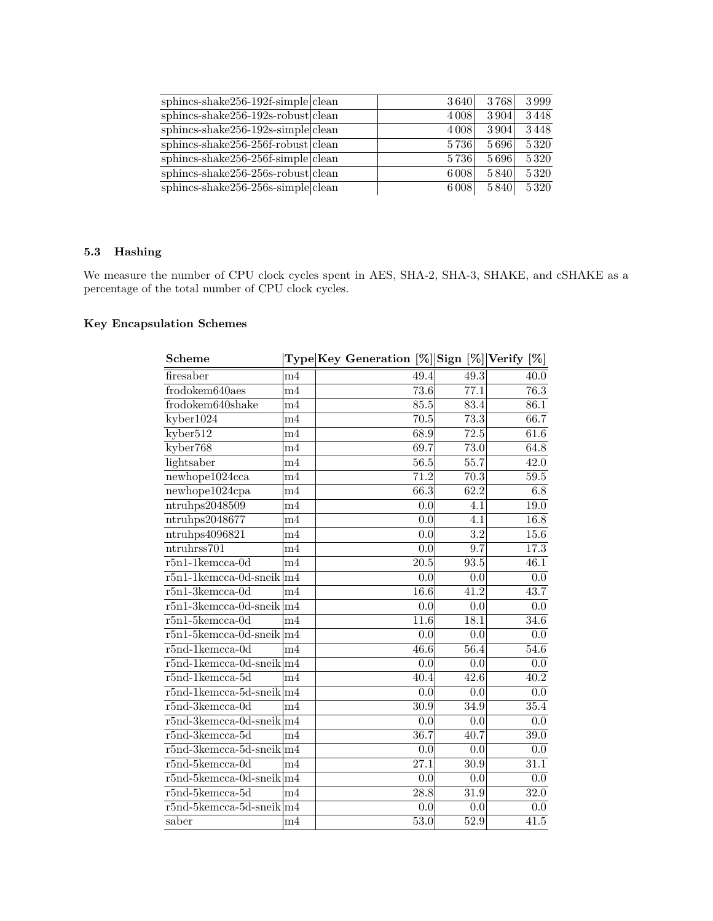| $sphincs-shake256-192f-simple clean$ | 3640    | 3768 | 3999 |
|--------------------------------------|---------|------|------|
| $sphincs-shake256-192s-robust clean$ | 4 0 0 8 | 3904 | 3448 |
| $sphincs-shake256-192s-simple clean$ | 4 0 0 8 | 3904 | 3448 |
| $sphincs-shake256-256f-robust$ clean | 5736    | 5696 | 5320 |
| $sphincs-shake256-256f-simple$ clean | 5736    | 5696 | 5320 |
| $sphincs-shake256-256s-robust clean$ | 6008    | 5840 | 5320 |
| $sphincs-shake256-256s-simple clean$ | 6008    | 5840 | 5320 |

### **5.3 Hashing**

We measure the number of CPU clock cycles spent in AES, SHA-2, SHA-3, SHAKE, and cSHAKE as a percentage of the total number of CPU clock cycles.

| <b>Scheme</b>                             |                | Type Key Generation $[\%]$ Sign $[\%]$ Verify $[\%]$ |                   |                   |
|-------------------------------------------|----------------|------------------------------------------------------|-------------------|-------------------|
| firesaber                                 | m4             | 49.4                                                 | 49.3              | 40.0              |
| frodokem640aes                            | m4             | 73.6                                                 | 77.1              | 76.3              |
| frodokem640shake                          | m4             | 85.5                                                 | 83.4              | 86.1              |
| kyber1024                                 | m4             | 70.5                                                 | 73.3              | 66.7              |
| kyber512                                  | m <sub>4</sub> | 68.9                                                 | 72.5              | 61.6              |
| kyber768                                  | m <sub>4</sub> | 69.7                                                 | 73.0              | 64.8              |
| lightsaber                                | m4             | 56.5                                                 | 55.7              | 42.0              |
| new hope1024cca                           | m4             | $\overline{71.2}$                                    | 70.3              | $\overline{59.5}$ |
| newhope1024cpa                            | m <sub>4</sub> | 66.3                                                 | 62.2              | 6.8               |
| ntruhps2048509                            | m4             | 0.0                                                  | 4.1               | $\overline{19.0}$ |
| ntruhps2048677                            | m4             | $\overline{0.0}$                                     | 4.1               | 16.8              |
| ntruhps4096821                            | m4             | 0.0                                                  | $\overline{3.2}$  | 15.6              |
| $n$ truhrss $701$                         | m <sub>4</sub> | $\overline{0.0}$                                     | $\overline{9.7}$  | 17.3              |
| $r5n1$ -1kemcca-0d                        | m <sub>4</sub> | $20.5\,$                                             | $\overline{93.5}$ | 46.1              |
| $r5n1-1$ kemcca-0d-sneik $m4$             |                | $\overline{0.0}$                                     | 0.0               | $\overline{0.0}$  |
| $r5n1-3kemcca-0d$                         | m4             | 16.6                                                 | 41.2              | 43.7              |
| $r\overline{5n1}$ -3kemcca-0d-sneik $ m4$ |                | 0.0                                                  | 0.0               | $\overline{0.0}$  |
| $r5n1-5$ kemcca-0d                        | m4             | 11.6                                                 | 18.1              | 34.6              |
| $r5n1-5$ kemcca-0d-sneik $ m4$            |                | 0.0                                                  | 0.0               | 0.0               |
| $r5nd-1$ kemcca-0d                        | m4             | 46.6                                                 | 56.4              | 54.6              |
| $r5nd-1$ kemcca-0d-sneik $ m4$            |                | 0.0                                                  | 0.0               | 0.0               |
| $r5nd-1$ kemcca- $5d$                     | m4             | 40.4                                                 | $\overline{42.6}$ | $\overline{40.2}$ |
| $r5nd-1$ kemcca-5d-sneik $ m4$            |                | 0.0                                                  | 0.0               | 0.0               |
| $r5nd-3kemcca-0d$                         | m <sub>4</sub> | $\overline{30.9}$                                    | $\overline{34.9}$ | 35.4              |
| $r5nd-3kemcca-0d-sneik \mid m4$           |                | $\overline{0.0}$                                     | 0.0               | 0.0               |
| $r5nd-3kemcca-5d$                         | m4             | 36.7                                                 | 40.7              | 39.0              |
| $r5nd-3kemcca-5d-sneik \mid m4$           |                | 0.0                                                  | 0.0               | 0.0               |
| $r5nd-5kemcca-0d$                         | m <sub>4</sub> | $\overline{27.1}$                                    | $\overline{30.9}$ | 31.1              |
| $r5nd-5kemcca-0d-sneik \mid m4$           |                | 0.0                                                  | $\overline{0.0}$  | $\overline{0.0}$  |
| $r5nd-5kemcca-5d$                         | m4             | $\overline{28.8}$                                    | 31.9              | 32.0              |
| $r5nd-5kemcca-5d-sneik \mid m4$           |                | 0.0                                                  | 0.0               | 0.0               |
| saber                                     | m <sub>4</sub> | $\overline{53.0}$                                    | 52.9              | 41.5              |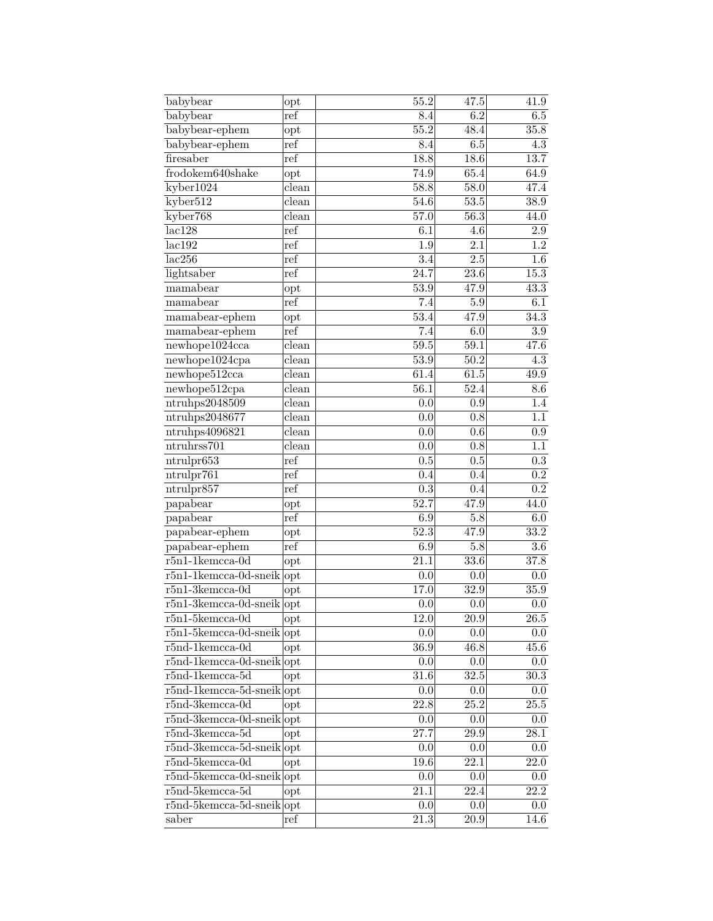| babybear                        | opt                       | $\overline{55.2}$ | 47.5              | 41.9              |
|---------------------------------|---------------------------|-------------------|-------------------|-------------------|
| babybear                        | ref                       | 8.4               | 6.2               | 6.5               |
| babybear-ephem                  | opt                       | $\overline{55.2}$ | 48.4              | $\overline{35.8}$ |
| babybear-ephem                  | ref                       | 8.4               | 6.5               | $\overline{4.3}$  |
| firesaber                       | ref                       | 18.8              | 18.6              | 13.7              |
| frodokem640shake                | opt                       | 74.9              | 65.4              | 64.9              |
| kyber1024                       | clean                     | 58.8              | 58.0              | 47.4              |
| kyber512                        | $\overline{\text{clean}}$ | 54.6              | 53.5              | 38.9              |
| kyber768                        | clean                     | 57.0              | 56.3              | 44.0              |
| lac128                          | ref                       | 6.1               | 4.6               | 2.9               |
| lac192                          | ref                       | $\overline{1.9}$  | $\overline{2.1}$  | $\overline{1.2}$  |
| lac256                          | ref                       | $\overline{3.4}$  | $\overline{2.5}$  | $1.6\,$           |
| lightsaber                      | ref                       | 24.7              | $\overline{23.6}$ | 15.3              |
| mamabear                        | $_{\rm opt}$              | 53.9              | 47.9              | 43.3              |
| mamabear                        | ref                       | 7.4               | $5.\overline{9}$  | 6.1               |
| mamabear-ephem                  | opt                       | 53.4              | 47.9              | 34.3              |
| mamabear-ephem                  | ref                       | 7.4               | 6.0               | $3.9\,$           |
| newhope1024cca                  | clean                     | 59.5              | 59.1              | 47.6              |
| newhope1024cpa                  | clean                     | 53.9              | 50.2              | 4.3               |
| newhope512cca                   | $\overline{\text{clean}}$ | 61.4              | 61.5              | 49.9              |
| newhope512cpa                   | clean                     | $\overline{56.1}$ | $\overline{52.4}$ | $\overline{8.6}$  |
| ntrubps2048509                  | $\overline{\text{clean}}$ | $\overline{0.0}$  | $\overline{0.9}$  | $\overline{1.4}$  |
| ntrubps2048677                  | $\overline{\text{clean}}$ | $\overline{0.0}$  | $\overline{0.8}$  | 1.1               |
| ntruhps4096821                  | clean                     | $\overline{0.0}$  | 0.6               | $\overline{0.9}$  |
| ntruhrss701                     | clean                     | $\overline{0.0}$  | $\overline{0.8}$  | $\overline{1.1}$  |
| ntrulpr653                      | ref                       | 0.5               | 0.5               | $\overline{0.3}$  |
| ntrulpr761                      | ref                       | 0.4               | 0.4               | $\overline{0.2}$  |
| ntrulpr857                      | ref                       | $\overline{0.3}$  | $\overline{0.4}$  | $\overline{0.2}$  |
| papabear                        | opt                       | 52.7              | 47.9              | 44.0              |
| papabear                        | ref                       | 6.9               | 5.8               | $6.0\,$           |
| papabear-ephem                  | $_{\rm opt}$              | 52.3              | 47.9              | 33.2              |
| papabear-ephem                  | ref                       | 6.9               | $5.8\,$           | $3.6\,$           |
| $r5n1-1$ kemcca-0d              | opt                       | $\overline{21.1}$ | 33.6              | 37.8              |
| $r5n1-1$ kemcca-0d-sneik        | opt                       | 0.0               | 0.0               | 0.0               |
| $r5n1-3$ kemcca-0d              | opt                       | 17.0              | 32.9              | 35.9              |
| $r5n1-3$ kemcca-0d-sneik        | opt                       | 0.0               | 0.0               | $0.0\,$           |
| $r5n1-5$ kemcca-0d              | opt                       | 12.0              | 20.9              | $26.5\,$          |
| $r5n1-5$ kemcca-0d-sneik        | opt                       | 0.0               | 0.0               | 0.0               |
| $r5nd-1$ kemcca-0d              | opt                       | $\overline{36.9}$ | $\overline{46.8}$ | 45.6              |
| r5nd-1kemcca-0d-sneik           | opt                       | 0.0               | 0.0               | 0.0               |
| $r5nd-1$ kemcca- $5d$           | opt                       | 31.6              | 32.5              | $\overline{30.3}$ |
| $r5nd-1$ kemcca-5d-sneik $ opt$ |                           | 0.0               | 0.0               | 0.0               |
| $r5nd-3kemcca-0d$               | opt                       | $\overline{22.8}$ | $\overline{25.2}$ | 25.5              |
| $r5nd-3kemcca-0d-sneik opt$     |                           | 0.0               | 0.0               | 0.0               |
| $r5nd-3kemcca-5d$               | $_{\rm opt}$              | 27.7              | $\overline{29.9}$ | 28.1              |
| $r5nd-3kemcca-5d-sneik opt$     |                           | 0.0               | 0.0               | 0.0               |
| $r5nd-5kemcca-0d$               | $_{\rm opt}$              | 19.6              | $\overline{2}2.1$ | 22.0              |
| $r5nd-5$ kemcca-0d-sneik $ opt$ |                           | 0.0               | 0.0               | 0.0               |
| $r5nd-5kemcca-5d$               | $_{\rm opt}$              | 21.1              | 22.4              | 22.2              |
| $r5nd-5kemcca-5d-sneik opt$     |                           | 0.0               | 0.0               | 0.0               |
| saber                           | ref                       | 21.3              | 20.9              | 14.6              |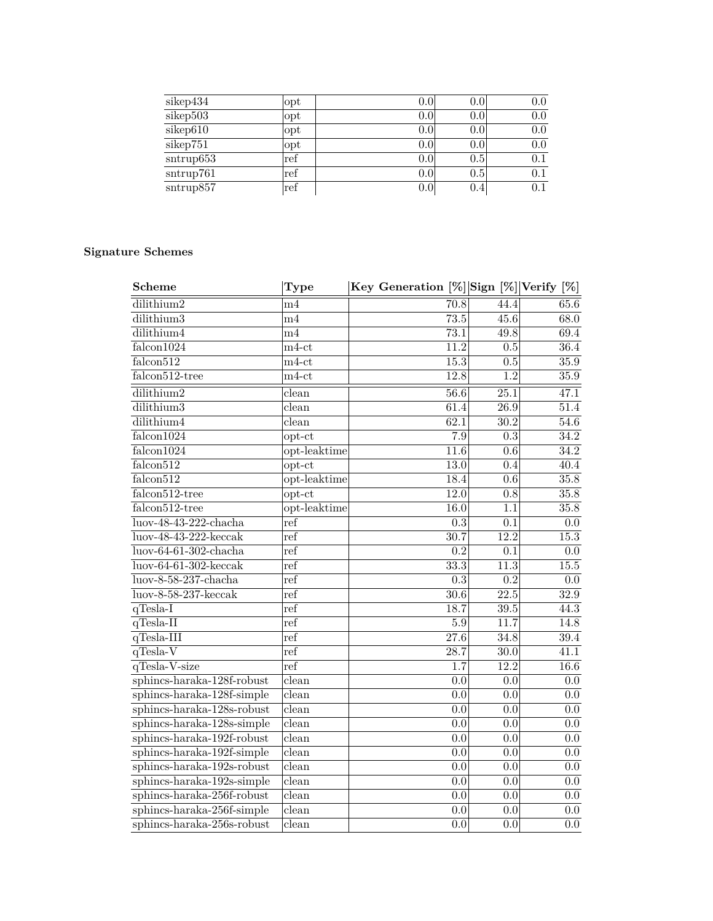| sikep434  | opt | $0.0\,$ | 0.0     | 0.0     |
|-----------|-----|---------|---------|---------|
| sikep503  | opt | $0.0\,$ | 0.0     | 0.0     |
| sikep610  | opt | 0.0     | $0.0\,$ | 0.0     |
| sikep751  | opt | $0.0\,$ | 0.0     | 0.0     |
| sntrup653 | ref | 0.0     | 0.5     | 0.1     |
| sntrup761 | ref | $0.0\,$ | 0.5     | 0.1     |
| sntrup857 | ref | $0.0\,$ | $0.4\,$ | $0.1\,$ |

| <b>Scheme</b>                   | Type                      | Key Generation [%] Sign [%] Verify [%] |                   |                  |
|---------------------------------|---------------------------|----------------------------------------|-------------------|------------------|
| $\overline{\text{dilithium}}$ 2 | $^{\rm{m4}}$              | 70.8                                   | 44.4              | 65.6             |
| dilithium3                      | m4                        | 73.5                                   | 45.6              | 68.0             |
| dilithium4                      | m4                        | 73.1                                   | 49.8              | 69.4             |
| falcon1024                      | $_{\rm m4-ct}$            | 11.2                                   | 0.5               | 36.4             |
| falcon512                       | $m4$ -ct                  | 15.3                                   | 0.5               | 35.9             |
| falcon512-tree                  | $m4$ -ct                  | 12.8                                   | $\overline{1.2}$  | 35.9             |
| dilithium2                      | clean                     | 56.6                                   | 25.1              | 47.1             |
| dilithium3                      | clean                     | 61.4                                   | $\overline{26.9}$ | 51.4             |
| dilithium4                      | clean                     | 62.1                                   | $\overline{30.2}$ | 54.6             |
| falcon1024                      | $opt-ct$                  | $\overline{7.9}$                       | $\overline{0.3}$  | 34.2             |
| falcon1024                      | opt-leaktime              | 11.6                                   | 0.6               | 34.2             |
| falcon512                       | $opt-ct$                  | $\overline{13.0}$                      | 0.4               | 40.4             |
| falcon512                       | opt-leaktime              | 18.4                                   | 0.6               | 35.8             |
| falcon512-tree                  | $opt-ct$                  | 12.0                                   | 0.8               | 35.8             |
| falcon512-tree                  | opt-leaktime              | 16.0                                   | $\overline{1.1}$  | 35.8             |
| luov-48-43-222-chacha           | ref                       | 0.3                                    | 0.1               | 0.0              |
| $luov-48-43-222-\text{keccak}$  | ref                       | 30.7                                   | 12.2              | 15.3             |
| $luov-64-61-302$ -chacha        | ref                       | 0.2                                    | 0.1               | 0.0              |
| $luov-64-61-302-keccak$         | ref                       | 33.3                                   | 11.3              | 15.5             |
| luov-8-58-237-chacha            | ref                       | $\overline{0.3}$                       | $\overline{0.2}$  | $\overline{0.0}$ |
| $luov-8-58-237-keccak$          | ref                       | $\overline{30.6}$                      | $\overline{22.5}$ | 32.9             |
| $q$ Tesla-I                     | ref                       | 18.7                                   | 39.5              | 44.3             |
| $q$ Tesla-II                    | ref                       | 5.9                                    | 11.7              | 14.8             |
| $q$ Tesla-III                   | ref                       | $\overline{27.6}$                      | 34.8              | 39.4             |
| qTesla-V                        | ref                       | 28.7                                   | $\overline{30.0}$ | 41.1             |
| qTesla-V-size                   | ref                       | $\overline{1.7}$                       | 12.2              | 16.6             |
| sphincs-haraka-128f-robust      | clean                     | $\overline{0.0}$                       | 0.0               | 0.0              |
| sphincs-haraka-128f-simple      | clean                     | $\overline{0.0}$                       | $\overline{0.0}$  | $\overline{0.0}$ |
| sphincs-haraka-128s-robust      | clean                     | $\overline{0.0}$                       | $\overline{0.0}$  | 0.0              |
| sphincs-haraka-128s-simple      | clean                     | $\overline{0.0}$                       | $\overline{0.0}$  | 0.0              |
| $sphincs$ -haraka-192f-robust   | clean                     | $\overline{0.0}$                       | $\overline{0.0}$  | 0.0              |
| sphincs-haraka-192f-simple      | $\overline{\text{clean}}$ | $\overline{0.0}$                       | $\overline{0.0}$  | 0.0              |
| sphincs-haraka-192s-robust      | clean                     | $\overline{0.0}$                       | $\overline{0.0}$  | 0.0              |
| sphincs-haraka-192s-simple      | clean                     | $\overline{0.0}$                       | $\overline{0.0}$  | 0.0              |
| sphincs-haraka-256f-robust      | clean                     | 0.0                                    | 0.0               | $0.0\,$          |
| sphincs-haraka-256f-simple      | clean                     | 0.0                                    | 0.0               | 0.0              |
| sphincs-haraka-256s-robust      | clean                     | 0.0                                    | 0.0               | 0.0              |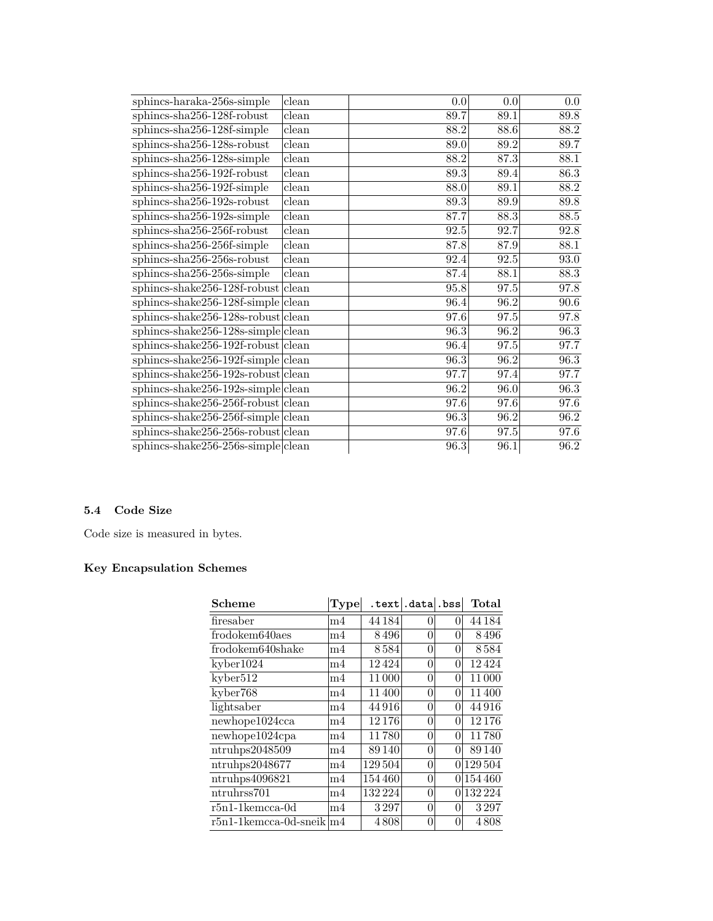| sphincs-haraka-256s-simple             | clean                     | 0.0               | 0.0      | 0.0               |
|----------------------------------------|---------------------------|-------------------|----------|-------------------|
| sphincs-sha256-128f-robust             | clean                     | 89.7              | 89.1     | 89.8              |
| sphincs-sha256-128f-simple             | $\overline{\text{clean}}$ | 88.2              | 88.6     | 88.2              |
| sphincs-sha256-128s-robust             | $\overline{\text{clean}}$ | 89.0              | 89.2     | 89.7              |
| sphincs-sha256-128s-simple             | clean                     | 88.2              | 87.3     | 88.1              |
| sphincs-sha256-192f-robust             | clean                     | 89.3              | 89.4     | 86.3              |
| $sphincs-sha256-192f-simple$           | clean                     | 88.0              | 89.1     | 88.2              |
| sphincs-sha256-192s-robust             | clean                     | 89.3              | 89.9     | 89.8              |
| sphincs-sha256-192s-simple             | clean                     | 87.7              | 88.3     | 88.5              |
| sphincs-sha256-256f-robust             | clean                     | 92.5              | 92.7     | 92.8              |
| sphincs-sha256-256f-simple             | clean                     | 87.8              | $87.9\,$ | 88.1              |
| sphincs-sha256-256s-robust             | clean                     | 92.4              | $92.5\,$ | $93.0\,$          |
| sphincs-sha256-256s-simple             | clean                     | 87.4              | 88.1     | 88.3              |
| sphincs-shake $256-128$ f-robust clean |                           | 95.8              | $97.5\,$ | 97.8              |
| $sphincs-shake256-128f-simple clean$   |                           | 96.4              | 96.2     | $\overline{90.6}$ |
| $sphincs-shake256-128s-robust clean$   |                           | 97.6              | 97.5     | 97.8              |
| $sphincs-shake256-128s-simple clean$   |                           | 96.3              | 96.2     | 96.3              |
| sphincs-shake $256-192$ f-robust clean |                           | 96.4              | 97.5     | 97.7              |
| $sphincs-shake256-192f-simple$ clean   |                           | 96.3              | 96.2     | $\overline{96.3}$ |
| $sphincs-shake256-192s-robust clean$   |                           | 97.7              | 97.4     | 97.7              |
| $sphincs-shake256-192s-simple clean$   |                           | 96.2              | 96.0     | $\frac{96.3}{ }$  |
| sphincs-shake $256-256f$ -robust clean |                           | $\overline{97.6}$ | 97.6     | 97.6              |
| $sphincs-shake256-256f-simple$ clean   |                           | 96.3              | 96.2     | 96.2              |
| $sphincs-shake256-256s-robust clean$   |                           | 97.6              | $97.5\,$ | 97.6              |
| $sphincs-shake256-256s-simple clean$   |                           | 96.3              | 96.1     | 96.2              |

### **5.4 Code Size**

Code size is measured in bytes.

| Scheme                         | Type           |         | .text .data .bss |          | Total   |
|--------------------------------|----------------|---------|------------------|----------|---------|
| firesaber                      | m4             | 44 184  | $\theta$         | 0        | 44 184  |
| frodokem640aes                 | m4             | 8496    | 0                | 0        | 8496    |
| frodokem640shake               | m <sub>4</sub> | 8584    | 0                | $\theta$ | 8584    |
| kyber1024                      | m4             | 12424   | 0                | 0        | 12424   |
| kyber512                       | m4             | 11 000  | 0                | 0        | 11 000  |
| kyber768                       | m4             | 11400   | 0                | 0        | 11400   |
| lightsaber                     | m4             | 44916   | 0                | 0        | 44 916  |
| new hope1024cca                | m4             | 12176   | 0                | $\theta$ | 12 176  |
| new hope1024cpa                | m <sub>4</sub> | 11780   | 0                | 0        | 11780   |
| ntrubps2048509                 | m4             | 89 140  | 0                | 0        | 89 140  |
| ntrubps2048677                 | m4             | 129 504 | 0                | $\theta$ | 129 504 |
| ntruhps4096821                 | m <sub>4</sub> | 154 460 | 0                | 0        | 154 460 |
| ntruhrss701                    | m4             | 132 224 | 0                | 0        | 132 224 |
| $r5n1-1$ kemcca-0d             | m4             | 3297    | 0                | 0        | 3297    |
| $r5n1-1$ kemcca-0d-sneik $ m4$ |                | 4808    | 0                | $\theta$ | 4808    |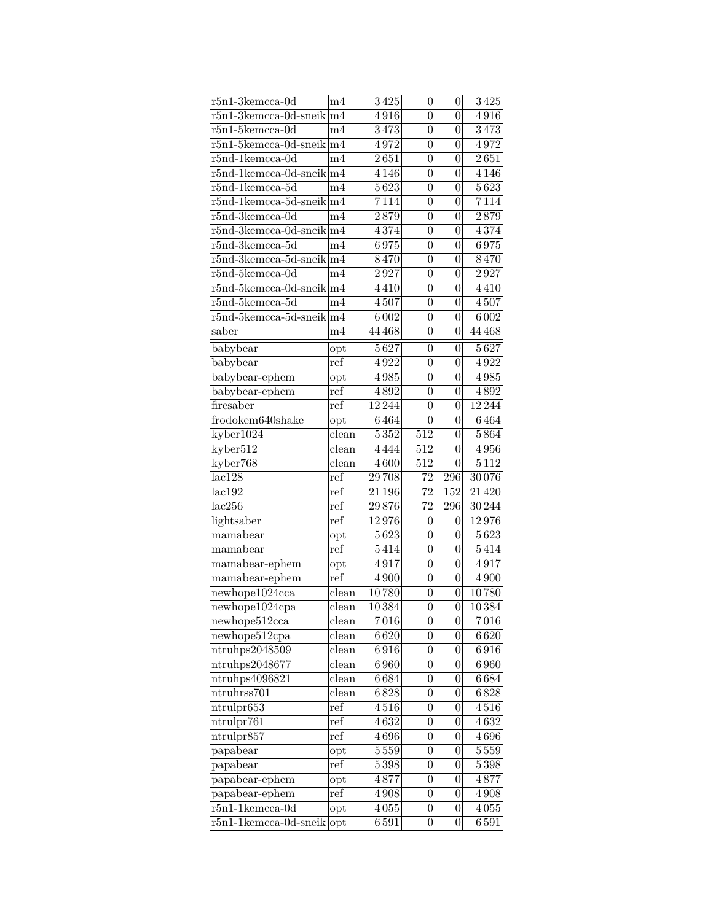| $r5n1-3kemcca-0d$                   | m4             | $\overline{3}$ 425 | $\overline{0}$   | 0                | 3425                |
|-------------------------------------|----------------|--------------------|------------------|------------------|---------------------|
| $r5n1-3$ kemcca-0d-sneik $ m4$      |                | 4916               | $\overline{0}$   | 0                | 4916                |
| $r5n1-5$ kemcca-0d                  | m4             | 3473               | $\overline{0}$   | 0                | 3473                |
| $r5n1-5$ kemcca-0d-sneik $ m4$      |                | 4972               | $\overline{0}$   | 0                | 4972                |
| $r5nd-1$ kemcca- $0d$               | m4             | $\overline{2651}$  | $\boldsymbol{0}$ | $\overline{0}$   | $2\overline{651}$   |
| $r5nd-1$ kemcca-0d-sneik $ m4$      |                | 4 1 4 6            | $\overline{0}$   | $\overline{0}$   | 4 1 4 6             |
| $r5nd-1$ kemcca- $5d$               | m4             | 5623               | $\overline{0}$   | $\overline{0}$   | 5623                |
| $r5nd-1$ kemcca-5d-sneik $ m4$      |                | 7114               | $\overline{0}$   | $\overline{0}$   | 7114                |
| $r5nd-3kemcca-0d$                   | m4             | 2879               | $\overline{0}$   | $\overline{0}$   | 2879                |
| $r5nd-3kemcca-0d-sneik\vert m4$     |                | 4374               | $\boldsymbol{0}$ | $\overline{0}$   | 4374                |
| $r5nd-3kemcca-5d$                   | m4             | 6975               | $\boldsymbol{0}$ | $\overline{0}$   | 6975                |
| $r$ 5nd-3kemcca-5d-sneik $ m4 $     |                | 8470               | 0                | $\overline{0}$   | 8470                |
| $r5nd-5kemcca-0d$                   | m4             | 2927               | 0                | $\overline{0}$   | 2927                |
| $r5nd-5kemcca-0d-sneik\vert m4$     |                | 4410               | $\boldsymbol{0}$ | $\boldsymbol{0}$ | 4410                |
| $r5nd-5$ kemcca- $5d$               | m4             | 4507               | $\boldsymbol{0}$ | $\overline{0}$   | 4507                |
| $r5nd-5kemcca-5d-sneik\vert m4$     |                | 6002               | $\overline{0}$   | $\overline{0}$   | $\overline{600}2$   |
| saber                               | m <sub>4</sub> | 44 468             | $\boldsymbol{0}$ | $\overline{0}$   | 44 468              |
| babybear                            | opt            | 5627               | $\boldsymbol{0}$ | $\boldsymbol{0}$ | $5\,\overline{627}$ |
| babybear                            | ref            | 4922               | $\boldsymbol{0}$ | 0                | 4922                |
| babybear-ephem                      | opt            | 4985               | $\boldsymbol{0}$ | $\overline{0}$   | 4985                |
| babybear-ephem                      | ref            | 4892               | $\boldsymbol{0}$ | $\overline{0}$   | 4892                |
| firesaber                           | ref            | 12 244             | $\overline{0}$   | 0                | 12 244              |
| frodokem640shake                    | opt            | 6464               | 0                | 0                | 6464                |
| kyber1024                           | clean          | $\overline{5352}$  | 512              | 0                | 5864                |
| kyber512                            | clean          | 4444               | 512              | 0                | 4956                |
| kyber768                            | clean          | 4600               | 512              | $\overline{0}$   | 5112                |
| lac128                              | ref            | 29708              | 72               | 296              | 30076               |
| lac192                              | ref            | $21\,196$          | $\overline{72}$  | 152              | 21 4 20             |
| lac256                              | ref            | 29876              | 72               | 296              | $\frac{30\,244}{ }$ |
| lightsaber                          | ref            | 12976              | $\overline{0}$   | 0                | 12976               |
| mamabear                            | opt            | $\overline{5623}$  | 0                | 0                | 5623                |
| mamabear                            | ref            | 5414               | $\boldsymbol{0}$ | 0                | 5414                |
| mamabear-ephem                      | opt            | 4917               | $\boldsymbol{0}$ | 0                | 4917                |
| mamabear-ephem                      | ref            | 4900               | $\boldsymbol{0}$ | $\overline{0}$   | 4900                |
| newhope1024cca                      | clean          | 10780              | $\boldsymbol{0}$ | $\boldsymbol{0}$ | 10780               |
| newhope1024cpa                      | $_{\rm clean}$ | 10384              | $\overline{0}$   | $\theta$         | 10384               |
| newhope512cca                       | clean          | $7\,016$           | 0                | $\boldsymbol{0}$ | 7016                |
| newhope512cpa                       | clean          | 6620               | 0                | 0                | 6620                |
| ntruhps2048509                      | $_{\rm clean}$ | 6916               | 0                | $\overline{0}$   | 6916                |
| $\overline{\text{ntruhps}}$ 2048677 | clean          | 6960               | 0                | 0                | 6960                |
| ntruhps4096821                      | clean          | 6684               | 0                | $\overline{0}$   | 6684                |
| ntruhrss701                         | clean          | 6828               | 0                | $\boldsymbol{0}$ | 6828                |
| ntrulpr653                          | ref            | 4516               | $\boldsymbol{0}$ | $\overline{0}$   | $4\,516$            |
| ntrulpr761                          | ref            | 4632               | 0                | $\overline{0}$   | 4632                |
| ntrulpr857                          | ref            | 4696               | $\boldsymbol{0}$ | $\overline{0}$   | 4696                |
| papabear                            | opt            | 5559               | $\boldsymbol{0}$ | $\overline{0}$   | $5\,559$            |
| papabear                            | ref            | 5398               | $\boldsymbol{0}$ | $\boldsymbol{0}$ | $5\,398$            |
| papabear-ephem                      | opt            | 4877               | 0                | $\overline{0}$   | 4877                |
| papabear-ephem                      | ref            | 4908               | $\boldsymbol{0}$ | $\overline{0}$   | 4908                |
| $r5n1-1$ kemcca-0d                  | $_{\rm opt}$   | 4055               | $\boldsymbol{0}$ | $\overline{0}$   | 4055                |
| $r5n1-1$ kemcca-0d-sneik opt        |                | 6591               | $\overline{0}$   | $\boldsymbol{0}$ | 6591                |
|                                     |                |                    |                  |                  |                     |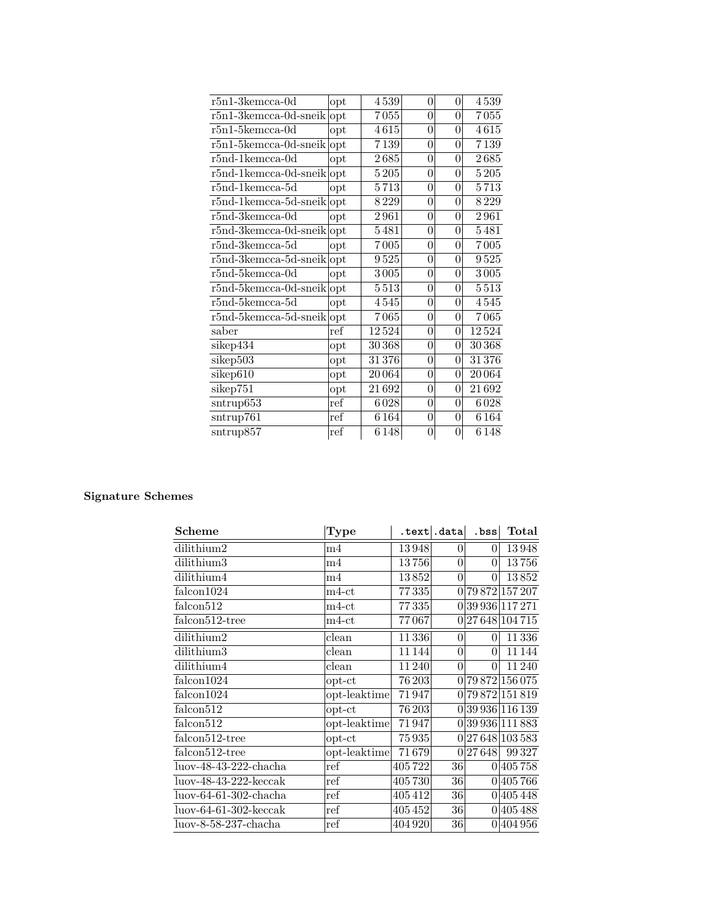| $r5n1-3kemcca-0d$               | opt | 4539    | $\theta$       | 0 | 4539              |
|---------------------------------|-----|---------|----------------|---|-------------------|
| $r5n1-3kemcca-0d-sneik$         | opt | 7055    | 0              | 0 | $7\,055$          |
| $r5n1-5$ kemcca-0d              | opt | 4615    | $\overline{0}$ | 0 | 4615              |
| $r5n1-5$ kemcca-0d-sneik        | opt | 7139    | $\overline{0}$ | 0 | 7139              |
| $r5nd-1$ kemcca- $0d$           | opt | 2685    | 0              | 0 | $2\,685$          |
| $r5nd-1$ kemcca-0d-sneik        | opt | 5 2 0 5 | 0              | 0 | 5205              |
| $r5nd-1$ kemcca- $5d$           | opt | 5713    | 0              | 0 | 5713              |
| $r5nd-1$ kemcca-5d-sneik $ opt$ |     | 8229    | 0              | 0 | 8229              |
| $r5nd-3kemcca-0d$               | opt | 2961    | $\overline{0}$ | 0 | 2961              |
| $r5nd-3kemcca-0d-sneik opt$     |     | 5481    | $\overline{0}$ | 0 | 5481              |
| $r5nd-3kemcca-5d$               | opt | 7005    | 0              | 0 | 7005              |
| $r5nd-3kemcca-5d-sneik opt$     |     | 9525    | $\overline{0}$ | 0 | 9525              |
| $r5nd-5kemcca-0d$               | opt | 3005    | 0              | 0 | 3005              |
| $r5nd-5$ kemcca-0d-sneik $ opt$ |     | 5513    | 0              | 0 | 5513              |
| $r5nd-5kemcca-5d$               | opt | 4545    | 0              | 0 | $4\,545$          |
| $r5nd-5kemcca-5d-sneik opt$     |     | 7065    | 0              | 0 | 7065              |
| saber                           | ref | 12524   | 0              | 0 | 12524             |
| sikep434                        | opt | 30 368  | 0              | 0 | 30 368            |
| sikep503                        | opt | 31376   | $\overline{0}$ | 0 | 31376             |
| sikep610                        | opt | 20 064  | 0              | 0 | 20064             |
| sikep751                        | opt | 21692   | $\overline{0}$ | 0 | 21692             |
| $s$ ntrup $653$                 | ref | 6028    | 0              | 0 | 6028              |
| sntrup761                       | ref | 6164    | $\overline{0}$ | 0 | $616\overline{4}$ |
| $\frac{\text{sntrup857}}{}$     | ref | 6148    | 0              | 0 | 6 1 4 8           |
|                                 |     |         |                |   |                   |

| <b>Scheme</b>                             | Type           |         | .text .data     | .bss            | Total            |
|-------------------------------------------|----------------|---------|-----------------|-----------------|------------------|
| dilithium2                                | m4             | 13948   | $\vert 0 \vert$ | $\Omega$        | 13948            |
| dilithium3                                | m4             | 13756   | $\overline{0}$  | $\Omega$        | 13756            |
| dilithium4                                | m4             | 13852   | $\overline{0}$  | $\Omega$        | 13852            |
| falcon1024                                | $m4-ct$        | 77335   |                 |                 | 0 79 872 157 207 |
| falcon512                                 | $m4$ -ct       | 77335   |                 |                 | 0 39 936 117 271 |
| $\overline{\text{falcon}}512\text{-tree}$ | $_{\rm m4-ct}$ | 77067   |                 |                 | 0 27 648 104 715 |
| dilithium2                                | $_{\rm clean}$ | 11336   | 0               | $\vert 0 \vert$ | 11336            |
| dilithium3                                | clean          | 11144   | $\overline{0}$  | $\theta$        | 11 144           |
| dilithium4                                | clean          | 11240   | 0               | $\Omega$        | 11240            |
| falcon1024                                | $opt-ct$       | 76 203  |                 |                 | 0 79 872 156 075 |
| falcon1024                                | opt-leaktime   | 71947   |                 |                 | 0 79872 151819   |
| falcon <sup>512</sup>                     | $opt-ct$       | 76 203  |                 |                 | 0 39 936 116 139 |
| falcon512                                 | opt-leaktime   | 71947   |                 |                 | 0 39 936 111 883 |
| falcon512-tree                            | $opt-ct$       | 75935   |                 |                 | 0 27 648 103 583 |
| $falcon512$ -tree                         | opt-leaktime   | 71679   |                 | 0 27648         | 99327            |
| luov-48-43-222-chacha                     | ref            | 405722  | 36 <sup>°</sup> |                 | 0 405 758        |
| $luov-48-43-222-keccak$                   | ref            | 405730  | $36$            |                 | 0 405 766        |
| luov-64-61-302-chacha                     | ref            | 405412  | $\overline{36}$ |                 | 0 405 448        |
| $luov-64-61-302-keccak$                   | ref            | 405452  | $36$            |                 | 0 405488         |
| luov-8-58-237-chacha                      | ref            | 404 920 | $\overline{36}$ |                 | 0 404 956        |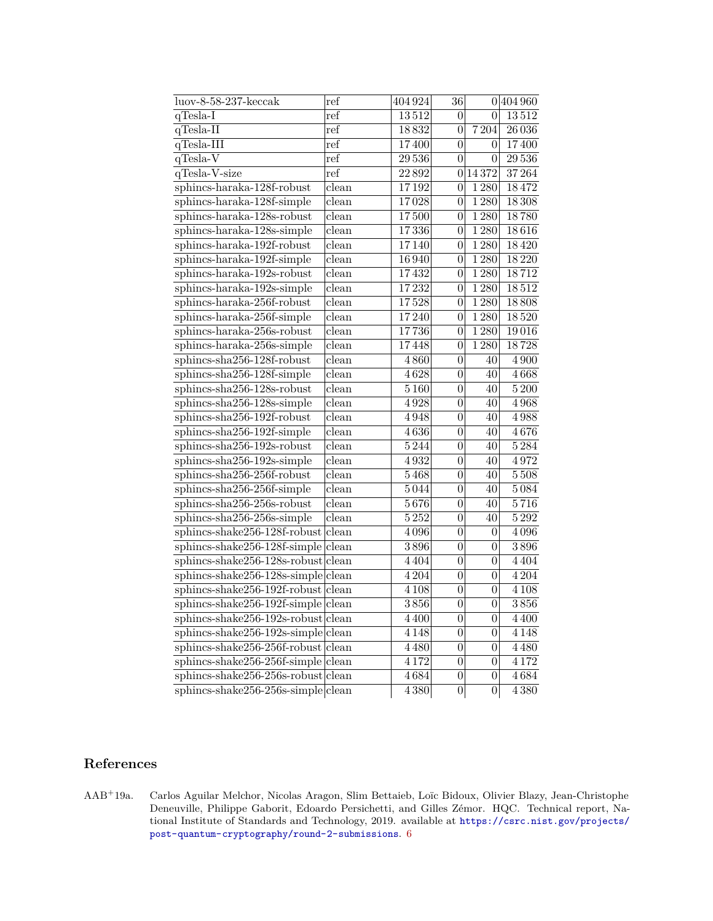| $luov-8-58-237-keccak$                | ref                       | 404924  | 36               |                    | 0 404 960 |
|---------------------------------------|---------------------------|---------|------------------|--------------------|-----------|
| $q$ Tesla-I                           | ref                       | 13512   | $\theta$         | 0                  | 13512     |
| $q$ Tesla-II                          | ref                       | 18832   | $\overline{0}$   | 7204               | 26 0 36   |
| $q$ Tesla-III                         | ref                       | 17400   | $\overline{0}$   | $\overline{0}$     | 17400     |
| $q$ Tesla-V                           | ref                       | 29536   | $\overline{0}$   | $\theta$           | 29536     |
| $q$ Tesla-V-size                      | ref                       | 22892   | 0                | 14372              | 37264     |
| sphincs-haraka-128f-robust            | clean                     | 17192   | $\theta$         | 1280               | 18472     |
| sphincs-haraka-128f-simple            | clean                     | 17028   | $\overline{0}$   | 1280               | 18308     |
| sphincs-haraka-128s-robust            | $_{\rm clean}$            | 17500   | $\overline{0}$   | $\overline{1280}$  | 18780     |
| sphincs-haraka-128s-simple            | clean                     | 17336   | $\boldsymbol{0}$ | 1280               | 18616     |
| sphincs-haraka-192f-robust            | $_{\rm clean}$            | 17140   | $\overline{0}$   | 1280               | 18420     |
| sphincs-haraka-192f-simple            | $_{\rm clean}$            | 16940   | $\overline{0}$   | 1 2 8 0            | 18220     |
| sphincs-haraka-192s-robust            | $_{\rm clean}$            | 17432   | $\boldsymbol{0}$ | 1 2 8 0            | 18712     |
| sphincs-haraka-192s-simple            | $_{\rm clean}$            | 17232   | $\overline{0}$   | 1280               | 18512     |
| sphincs-haraka-256f-robust            | $_{\rm clean}$            | 17528   | $\overline{0}$   | 1280               | 18808     |
| sphincs-haraka-256f-simple            | $_{\rm clean}$            | 17240   | $\overline{0}$   | 1280               | 18520     |
| sphincs-haraka-256s-robust            | $_{\rm clean}$            | 17736   | 0                | $\overline{1}$ 280 | 19016     |
| sphincs-haraka-256s-simple            | clean                     | 17448   | $\boldsymbol{0}$ | 1280               | 18728     |
| sphincs-sha256-128f-robust            | clean                     | 4860    | $\boldsymbol{0}$ | 40                 | 4900      |
| sphincs-sha256-128f-simple            | clean                     | 4628    | $\overline{0}$   | 40                 | 4668      |
| sphincs-sha256-128s-robust            | clean                     | 5160    | $\overline{0}$   | 40                 | 5200      |
| sphincs-sha256-128s-simple            | clean                     | 4928    | $\overline{0}$   | 40                 | 4968      |
| sphincs-sha256-192f-robust            | $\overline{\text{clean}}$ | 4948    | $\overline{0}$   | 40                 | 4988      |
| sphincs-sha256-192f-simple            | clean                     | 4636    | $\overline{0}$   | 40                 | 4676      |
| sphincs-sha256-192s-robust            | clean                     | 5244    | $\overline{0}$   | 40                 | 5284      |
| sphincs-sha256-192s-simple            | $_{\rm clean}$            | 4932    | $\overline{0}$   | 40                 | 4972      |
| sphincs-sha256-256f-robust            | clean                     | 5468    | $\overline{0}$   | 40                 | 5508      |
| sphincs-sha256-256f-simple            | $_{\rm clean}$            | 5044    | $\overline{0}$   | 40                 | 5084      |
| sphincs-sha256-256s-robust            | $_{\rm clean}$            | 5676    | $\boldsymbol{0}$ | 40                 | 5716      |
| sphincs-sha256-256s-simple            | $\overline{\text{clean}}$ | 5252    | $\boldsymbol{0}$ | 40                 | 5292      |
| sphincs-shake256-128f-robust          | clean                     | 4096    | $\boldsymbol{0}$ | $\theta$           | 4096      |
| sphincs-shake256-128f-simple          | clean                     | 3896    | $\boldsymbol{0}$ | $\overline{0}$     | 3896      |
| sphincs-shake256-128s-robust          | clean                     | 4 4 0 4 | $\boldsymbol{0}$ | $\theta$           | 4 4 0 4   |
| $sphincs-shake256-128s-simple clean$  |                           | 4204    | $\boldsymbol{0}$ | 0                  | 4 2 0 4   |
| sphincs-shake256-192f-robust          | clean                     | 4 1 0 8 | $\boldsymbol{0}$ | $\overline{0}$     | 4 1 0 8   |
| sphincs-shake256-192f-simple          | clean                     | 3856    | $\boldsymbol{0}$ | $\theta$           | 3856      |
| $sphincs-shake256-192s-robust clean$  |                           | 4 4 0 0 | $\boldsymbol{0}$ | $\vert 0 \vert$    | 4 4 0 0   |
| $sphincs-shake256-192s-simple clean$  |                           | 4 1 4 8 | $\boldsymbol{0}$ | $\overline{0}$     | 4 1 4 8   |
| sphincs-shake256-256f-robust clean    |                           | 4 4 8 0 | $\boldsymbol{0}$ | $\overline{0}$     | 4 4 8 0   |
| $sphincs-shake256-256f-simple$ clean  |                           | 4172    | $\boldsymbol{0}$ | $\boldsymbol{0}$   | 4172      |
| $s$ phincs-shake256-256s-robust clean |                           | 4684    | $\boldsymbol{0}$ | $\boldsymbol{0}$   | 4684      |
| $sphincs-shake256-256s-simple clean$  |                           | 4 3 8 0 | $\boldsymbol{0}$ | $\vert 0 \vert$    | 4380      |

# **References**

AAB<sup>+</sup>19a. Carlos Aguilar Melchor, Nicolas Aragon, Slim Bettaieb, Loïc Bidoux, Olivier Blazy, Jean-Christophe Deneuville, Philippe Gaborit, Edoardo Persichetti, and Gilles Zémor. HQC. Technical report, National Institute of Standards and Technology, 2019. available at [https://csrc.nist.gov/projects/](https://csrc.nist.gov/projects/post-quantum-cryptography/round-2-submissions) [post-quantum-cryptography/round-2-submissions](https://csrc.nist.gov/projects/post-quantum-cryptography/round-2-submissions). [6](#page-5-0)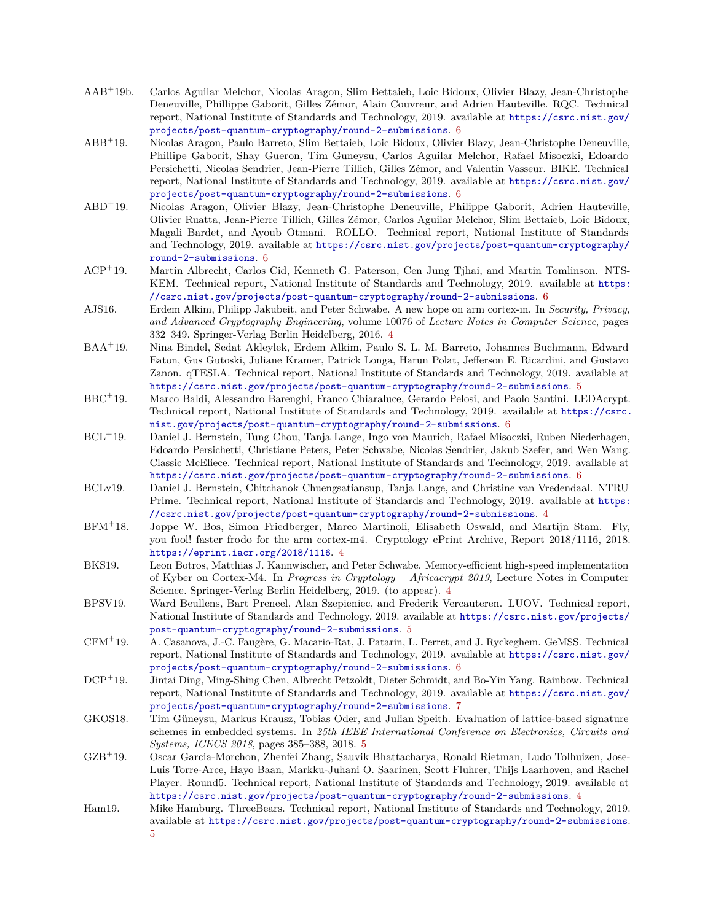- AAB<sup>+</sup>19b. Carlos Aguilar Melchor, Nicolas Aragon, Slim Bettaieb, Loic Bidoux, Olivier Blazy, Jean-Christophe Deneuville, Phillippe Gaborit, Gilles Zémor, Alain Couvreur, and Adrien Hauteville. RQC. Technical report, National Institute of Standards and Technology, 2019. available at [https://csrc.nist.gov/](https://csrc.nist.gov/projects/post-quantum-cryptography/round-2-submissions) [projects/post-quantum-cryptography/round-2-submissions](https://csrc.nist.gov/projects/post-quantum-cryptography/round-2-submissions). [6](#page-5-0)
- ABB<sup>+</sup>19. Nicolas Aragon, Paulo Barreto, Slim Bettaieb, Loic Bidoux, Olivier Blazy, Jean-Christophe Deneuville, Phillipe Gaborit, Shay Gueron, Tim Guneysu, Carlos Aguilar Melchor, Rafael Misoczki, Edoardo Persichetti, Nicolas Sendrier, Jean-Pierre Tillich, Gilles Zémor, and Valentin Vasseur. BIKE. Technical report, National Institute of Standards and Technology, 2019. available at [https://csrc.nist.gov/](https://csrc.nist.gov/projects/post-quantum-cryptography/round-2-submissions) [projects/post-quantum-cryptography/round-2-submissions](https://csrc.nist.gov/projects/post-quantum-cryptography/round-2-submissions). [6](#page-5-0)
- ABD<sup>+</sup>19. Nicolas Aragon, Olivier Blazy, Jean-Christophe Deneuville, Philippe Gaborit, Adrien Hauteville, Olivier Ruatta, Jean-Pierre Tillich, Gilles Zémor, Carlos Aguilar Melchor, Slim Bettaieb, Loic Bidoux, Magali Bardet, and Ayoub Otmani. ROLLO. Technical report, National Institute of Standards and Technology, 2019. available at [https://csrc.nist.gov/projects/post-quantum-cryptography/](https://csrc.nist.gov/projects/post-quantum-cryptography/round-2-submissions) [round-2-submissions](https://csrc.nist.gov/projects/post-quantum-cryptography/round-2-submissions). [6](#page-5-0)
- ACP<sup>+</sup>19. Martin Albrecht, Carlos Cid, Kenneth G. Paterson, Cen Jung Tjhai, and Martin Tomlinson. NTS-KEM. Technical report, National Institute of Standards and Technology, 2019. available at [https:](https://csrc.nist.gov/projects/post-quantum-cryptography/round-2-submissions) [//csrc.nist.gov/projects/post-quantum-cryptography/round-2-submissions](https://csrc.nist.gov/projects/post-quantum-cryptography/round-2-submissions). [6](#page-5-0)
- AJS16. Erdem Alkim, Philipp Jakubeit, and Peter Schwabe. A new hope on arm cortex-m. In *Security, Privacy, and Advanced Cryptography Engineering*, volume 10076 of *Lecture Notes in Computer Science*, pages 332–349. Springer-Verlag Berlin Heidelberg, 2016. [4](#page-3-0)
- BAA<sup>+</sup>19. Nina Bindel, Sedat Akleylek, Erdem Alkim, Paulo S. L. M. Barreto, Johannes Buchmann, Edward Eaton, Gus Gutoski, Juliane Kramer, Patrick Longa, Harun Polat, Jefferson E. Ricardini, and Gustavo Zanon. qTESLA. Technical report, National Institute of Standards and Technology, 2019. available at <https://csrc.nist.gov/projects/post-quantum-cryptography/round-2-submissions>. [5](#page-4-0)
- BBC<sup>+</sup>19. Marco Baldi, Alessandro Barenghi, Franco Chiaraluce, Gerardo Pelosi, and Paolo Santini. LEDAcrypt. Technical report, National Institute of Standards and Technology, 2019. available at [https://csrc.](https://csrc.nist.gov/projects/post-quantum-cryptography/round-2-submissions) [nist.gov/projects/post-quantum-cryptography/round-2-submissions](https://csrc.nist.gov/projects/post-quantum-cryptography/round-2-submissions). [6](#page-5-0)
- BCL<sup>+</sup>19. Daniel J. Bernstein, Tung Chou, Tanja Lange, Ingo von Maurich, Rafael Misoczki, Ruben Niederhagen, Edoardo Persichetti, Christiane Peters, Peter Schwabe, Nicolas Sendrier, Jakub Szefer, and Wen Wang. Classic McEliece. Technical report, National Institute of Standards and Technology, 2019. available at <https://csrc.nist.gov/projects/post-quantum-cryptography/round-2-submissions>. [6](#page-5-0)
- BCLv19. Daniel J. Bernstein, Chitchanok Chuengsatiansup, Tanja Lange, and Christine van Vredendaal. NTRU Prime. Technical report, National Institute of Standards and Technology, 2019. available at [https:](https://csrc.nist.gov/projects/post-quantum-cryptography/round-2-submissions) [//csrc.nist.gov/projects/post-quantum-cryptography/round-2-submissions](https://csrc.nist.gov/projects/post-quantum-cryptography/round-2-submissions). [4](#page-3-0)
- BFM<sup>+</sup>18. Joppe W. Bos, Simon Friedberger, Marco Martinoli, Elisabeth Oswald, and Martijn Stam. Fly, you fool! faster frodo for the arm cortex-m4. Cryptology ePrint Archive, Report 2018/1116, 2018. <https://eprint.iacr.org/2018/1116>. [4](#page-3-0)
- BKS19. Leon Botros, Matthias J. Kannwischer, and Peter Schwabe. Memory-efficient high-speed implementation of Kyber on Cortex-M4. In *Progress in Cryptology – Africacrypt 2019*, Lecture Notes in Computer Science. Springer-Verlag Berlin Heidelberg, 2019. (to appear). [4](#page-3-0)
- BPSV19. Ward Beullens, Bart Preneel, Alan Szepieniec, and Frederik Vercauteren. LUOV. Technical report, National Institute of Standards and Technology, 2019. available at [https://csrc.nist.gov/projects/](https://csrc.nist.gov/projects/post-quantum-cryptography/round-2-submissions) [post-quantum-cryptography/round-2-submissions](https://csrc.nist.gov/projects/post-quantum-cryptography/round-2-submissions). [5](#page-4-0)
- CFM<sup>+</sup>19. A. Casanova, J.-C. Faugère, G. Macario-Rat, J. Patarin, L. Perret, and J. Ryckeghem. GeMSS. Technical report, National Institute of Standards and Technology, 2019. available at [https://csrc.nist.gov/](https://csrc.nist.gov/projects/post-quantum-cryptography/round-2-submissions) [projects/post-quantum-cryptography/round-2-submissions](https://csrc.nist.gov/projects/post-quantum-cryptography/round-2-submissions). [6](#page-5-0)
- <span id="page-20-0"></span>DCP<sup>+</sup>19. Jintai Ding, Ming-Shing Chen, Albrecht Petzoldt, Dieter Schmidt, and Bo-Yin Yang. Rainbow. Technical report, National Institute of Standards and Technology, 2019. available at [https://csrc.nist.gov/](https://csrc.nist.gov/projects/post-quantum-cryptography/round-2-submissions) [projects/post-quantum-cryptography/round-2-submissions](https://csrc.nist.gov/projects/post-quantum-cryptography/round-2-submissions). [7](#page-6-0)
- GKOS18. Tim Güneysu, Markus Krausz, Tobias Oder, and Julian Speith. Evaluation of lattice-based signature schemes in embedded systems. In *25th IEEE International Conference on Electronics, Circuits and Systems, ICECS 2018*, pages 385–388, 2018. [5](#page-4-0)
- GZB<sup>+</sup>19. Oscar Garcia-Morchon, Zhenfei Zhang, Sauvik Bhattacharya, Ronald Rietman, Ludo Tolhuizen, Jose-Luis Torre-Arce, Hayo Baan, Markku-Juhani O. Saarinen, Scott Fluhrer, Thijs Laarhoven, and Rachel Player. Round5. Technical report, National Institute of Standards and Technology, 2019. available at <https://csrc.nist.gov/projects/post-quantum-cryptography/round-2-submissions>. [4](#page-3-0)
- Ham19. Mike Hamburg. ThreeBears. Technical report, National Institute of Standards and Technology, 2019. available at <https://csrc.nist.gov/projects/post-quantum-cryptography/round-2-submissions>. [5](#page-4-0)